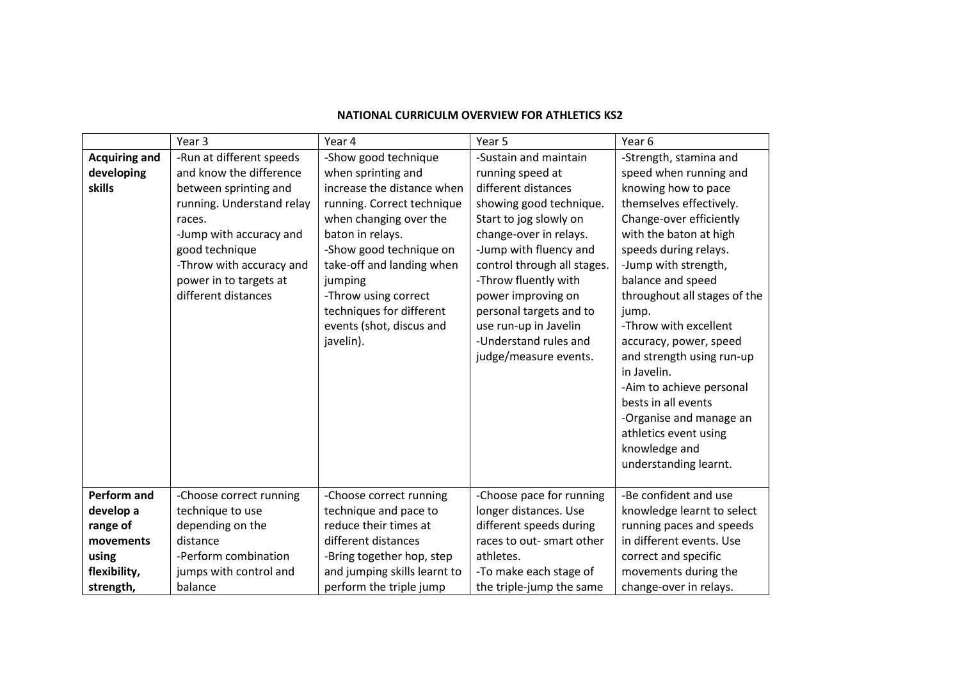|                      | Year <sub>3</sub>         | Year 4                       | Year 5                      | Year 6                       |
|----------------------|---------------------------|------------------------------|-----------------------------|------------------------------|
| <b>Acquiring and</b> | -Run at different speeds  | -Show good technique         | -Sustain and maintain       | -Strength, stamina and       |
| developing           | and know the difference   | when sprinting and           | running speed at            | speed when running and       |
| skills               | between sprinting and     | increase the distance when   | different distances         | knowing how to pace          |
|                      | running. Understand relay | running. Correct technique   | showing good technique.     | themselves effectively.      |
|                      | races.                    | when changing over the       | Start to jog slowly on      | Change-over efficiently      |
|                      | -Jump with accuracy and   | baton in relays.             | change-over in relays.      | with the baton at high       |
|                      | good technique            | -Show good technique on      | -Jump with fluency and      | speeds during relays.        |
|                      | -Throw with accuracy and  | take-off and landing when    | control through all stages. | -Jump with strength,         |
|                      | power in to targets at    | jumping                      | -Throw fluently with        | balance and speed            |
|                      | different distances       | -Throw using correct         | power improving on          | throughout all stages of the |
|                      |                           | techniques for different     | personal targets and to     | jump.                        |
|                      |                           | events (shot, discus and     | use run-up in Javelin       | -Throw with excellent        |
|                      |                           | javelin).                    | -Understand rules and       | accuracy, power, speed       |
|                      |                           |                              | judge/measure events.       | and strength using run-up    |
|                      |                           |                              |                             | in Javelin.                  |
|                      |                           |                              |                             | -Aim to achieve personal     |
|                      |                           |                              |                             | bests in all events          |
|                      |                           |                              |                             | -Organise and manage an      |
|                      |                           |                              |                             | athletics event using        |
|                      |                           |                              |                             | knowledge and                |
|                      |                           |                              |                             | understanding learnt.        |
|                      |                           |                              |                             |                              |
| <b>Perform and</b>   | -Choose correct running   | -Choose correct running      | -Choose pace for running    | -Be confident and use        |
| develop a            | technique to use          | technique and pace to        | longer distances. Use       | knowledge learnt to select   |
| range of             | depending on the          | reduce their times at        | different speeds during     | running paces and speeds     |
| movements            | distance                  | different distances          | races to out- smart other   | in different events. Use     |
| using                | -Perform combination      | -Bring together hop, step    | athletes.                   | correct and specific         |
| flexibility,         | jumps with control and    | and jumping skills learnt to | -To make each stage of      | movements during the         |
| strength,            | balance                   | perform the triple jump      | the triple-jump the same    | change-over in relays.       |

## **NATIONAL CURRICULM OVERVIEW FOR ATHLETICS KS2**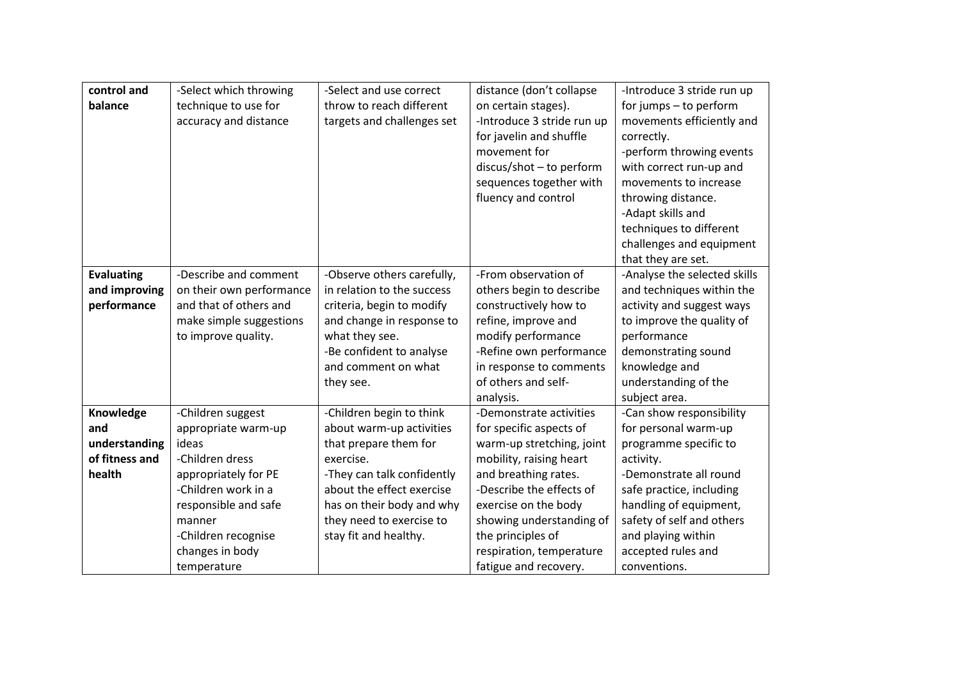| control and       | -Select which throwing   | -Select and use correct    | distance (don't collapse   | -Introduce 3 stride run up   |
|-------------------|--------------------------|----------------------------|----------------------------|------------------------------|
| balance           | technique to use for     | throw to reach different   | on certain stages).        | for jumps - to perform       |
|                   | accuracy and distance    | targets and challenges set | -Introduce 3 stride run up | movements efficiently and    |
|                   |                          |                            | for javelin and shuffle    | correctly.                   |
|                   |                          |                            | movement for               | -perform throwing events     |
|                   |                          |                            | $discus/shot - to perform$ | with correct run-up and      |
|                   |                          |                            | sequences together with    | movements to increase        |
|                   |                          |                            | fluency and control        | throwing distance.           |
|                   |                          |                            |                            | -Adapt skills and            |
|                   |                          |                            |                            | techniques to different      |
|                   |                          |                            |                            | challenges and equipment     |
|                   |                          |                            |                            | that they are set.           |
| <b>Evaluating</b> | -Describe and comment    | -Observe others carefully, | -From observation of       | -Analyse the selected skills |
| and improving     | on their own performance | in relation to the success | others begin to describe   | and techniques within the    |
| performance       | and that of others and   | criteria, begin to modify  | constructively how to      | activity and suggest ways    |
|                   | make simple suggestions  | and change in response to  | refine, improve and        | to improve the quality of    |
|                   | to improve quality.      | what they see.             | modify performance         | performance                  |
|                   |                          | -Be confident to analyse   | -Refine own performance    | demonstrating sound          |
|                   |                          | and comment on what        | in response to comments    | knowledge and                |
|                   |                          | they see.                  | of others and self-        | understanding of the         |
|                   |                          |                            | analysis.                  | subject area.                |
| Knowledge         | -Children suggest        | -Children begin to think   | -Demonstrate activities    | -Can show responsibility     |
| and               | appropriate warm-up      | about warm-up activities   | for specific aspects of    | for personal warm-up         |
| understanding     | ideas                    | that prepare them for      | warm-up stretching, joint  | programme specific to        |
| of fitness and    | -Children dress          | exercise.                  | mobility, raising heart    | activity.                    |
| health            | appropriately for PE     | -They can talk confidently | and breathing rates.       | -Demonstrate all round       |
|                   | -Children work in a      | about the effect exercise  | -Describe the effects of   | safe practice, including     |
|                   | responsible and safe     | has on their body and why  | exercise on the body       | handling of equipment,       |
|                   | manner                   | they need to exercise to   | showing understanding of   | safety of self and others    |
|                   | -Children recognise      | stay fit and healthy.      | the principles of          | and playing within           |
|                   | changes in body          |                            | respiration, temperature   | accepted rules and           |
|                   | temperature              |                            | fatigue and recovery.      | conventions.                 |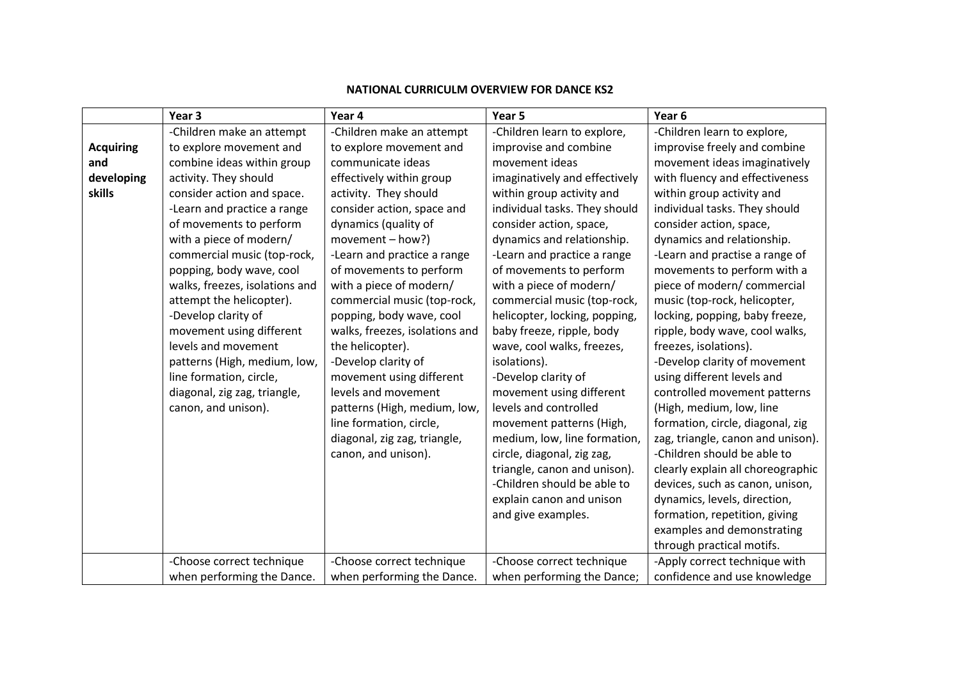|                  | Year <sub>3</sub>              | Year 4                         | Year 5                        | Year <sub>6</sub>                 |
|------------------|--------------------------------|--------------------------------|-------------------------------|-----------------------------------|
|                  | -Children make an attempt      | -Children make an attempt      | -Children learn to explore,   | -Children learn to explore,       |
| <b>Acquiring</b> | to explore movement and        | to explore movement and        | improvise and combine         | improvise freely and combine      |
| and              | combine ideas within group     | communicate ideas              | movement ideas                | movement ideas imaginatively      |
| developing       | activity. They should          | effectively within group       | imaginatively and effectively | with fluency and effectiveness    |
| skills           | consider action and space.     | activity. They should          | within group activity and     | within group activity and         |
|                  | -Learn and practice a range    | consider action, space and     | individual tasks. They should | individual tasks. They should     |
|                  | of movements to perform        | dynamics (quality of           | consider action, space,       | consider action, space,           |
|                  | with a piece of modern/        | movement $-$ how?)             | dynamics and relationship.    | dynamics and relationship.        |
|                  | commercial music (top-rock,    | -Learn and practice a range    | -Learn and practice a range   | -Learn and practise a range of    |
|                  | popping, body wave, cool       | of movements to perform        | of movements to perform       | movements to perform with a       |
|                  | walks, freezes, isolations and | with a piece of modern/        | with a piece of modern/       | piece of modern/commercial        |
|                  | attempt the helicopter).       | commercial music (top-rock,    | commercial music (top-rock,   | music (top-rock, helicopter,      |
|                  | -Develop clarity of            | popping, body wave, cool       | helicopter, locking, popping, | locking, popping, baby freeze,    |
|                  | movement using different       | walks, freezes, isolations and | baby freeze, ripple, body     | ripple, body wave, cool walks,    |
|                  | levels and movement            | the helicopter).               | wave, cool walks, freezes,    | freezes, isolations).             |
|                  | patterns (High, medium, low,   | -Develop clarity of            | isolations).                  | -Develop clarity of movement      |
|                  | line formation, circle,        | movement using different       | -Develop clarity of           | using different levels and        |
|                  | diagonal, zig zag, triangle,   | levels and movement            | movement using different      | controlled movement patterns      |
|                  | canon, and unison).            | patterns (High, medium, low,   | levels and controlled         | (High, medium, low, line          |
|                  |                                | line formation, circle,        | movement patterns (High,      | formation, circle, diagonal, zig  |
|                  |                                | diagonal, zig zag, triangle,   | medium, low, line formation,  | zag, triangle, canon and unison). |
|                  |                                | canon, and unison).            | circle, diagonal, zig zag,    | -Children should be able to       |
|                  |                                |                                | triangle, canon and unison).  | clearly explain all choreographic |
|                  |                                |                                | -Children should be able to   | devices, such as canon, unison,   |
|                  |                                |                                | explain canon and unison      | dynamics, levels, direction,      |
|                  |                                |                                | and give examples.            | formation, repetition, giving     |
|                  |                                |                                |                               | examples and demonstrating        |
|                  |                                |                                |                               | through practical motifs.         |
|                  | -Choose correct technique      | -Choose correct technique      | -Choose correct technique     | -Apply correct technique with     |
|                  | when performing the Dance.     | when performing the Dance.     | when performing the Dance;    | confidence and use knowledge      |

#### **NATIONAL CURRICULM OVERVIEW FOR DANCE KS2**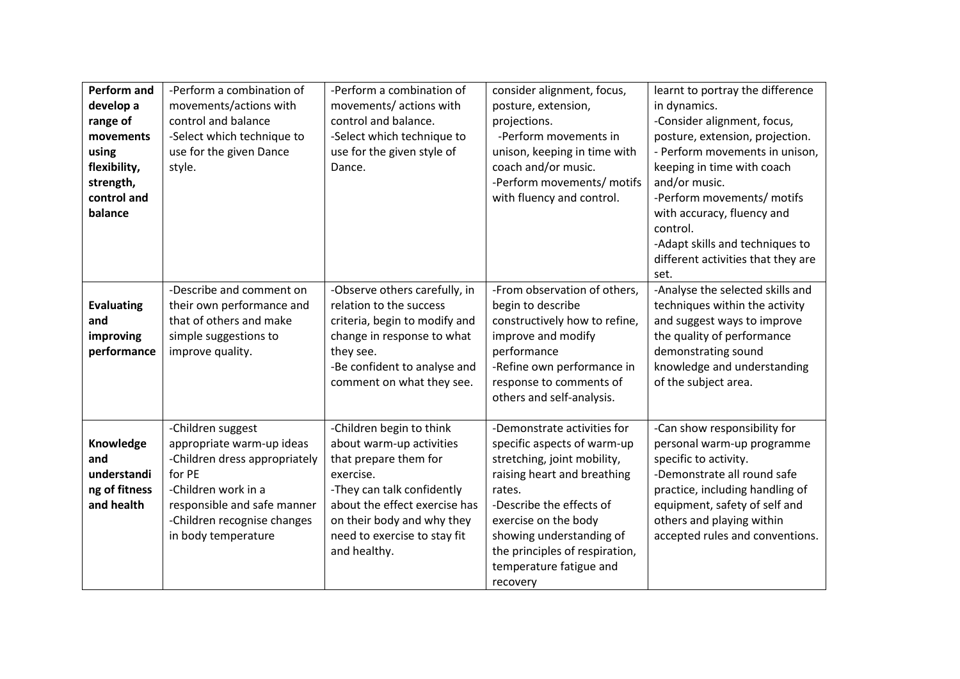| Perform and<br>develop a<br>range of<br>movements              | -Perform a combination of<br>movements/actions with<br>control and balance<br>-Select which technique to                                                                                              | -Perform a combination of<br>movements/actions with<br>control and balance.<br>-Select which technique to                                                                                                                               | consider alignment, focus,<br>posture, extension,<br>projections.<br>-Perform movements in                                                                                                                                                                                                  | learnt to portray the difference<br>in dynamics.<br>-Consider alignment, focus,<br>posture, extension, projection.                                                                                                                                     |
|----------------------------------------------------------------|-------------------------------------------------------------------------------------------------------------------------------------------------------------------------------------------------------|-----------------------------------------------------------------------------------------------------------------------------------------------------------------------------------------------------------------------------------------|---------------------------------------------------------------------------------------------------------------------------------------------------------------------------------------------------------------------------------------------------------------------------------------------|--------------------------------------------------------------------------------------------------------------------------------------------------------------------------------------------------------------------------------------------------------|
| using<br>flexibility,<br>strength,<br>control and<br>balance   | use for the given Dance<br>style.                                                                                                                                                                     | use for the given style of<br>Dance.                                                                                                                                                                                                    | unison, keeping in time with<br>coach and/or music.<br>-Perform movements/ motifs<br>with fluency and control.                                                                                                                                                                              | - Perform movements in unison,<br>keeping in time with coach<br>and/or music.<br>-Perform movements/ motifs<br>with accuracy, fluency and<br>control.<br>-Adapt skills and techniques to<br>different activities that they are<br>set.                 |
| <b>Evaluating</b><br>and<br>improving<br>performance           | -Describe and comment on<br>their own performance and<br>that of others and make<br>simple suggestions to<br>improve quality.                                                                         | -Observe others carefully, in<br>relation to the success<br>criteria, begin to modify and<br>change in response to what<br>they see.<br>-Be confident to analyse and<br>comment on what they see.                                       | -From observation of others,<br>begin to describe<br>constructively how to refine,<br>improve and modify<br>performance<br>-Refine own performance in<br>response to comments of<br>others and self-analysis.                                                                               | -Analyse the selected skills and<br>techniques within the activity<br>and suggest ways to improve<br>the quality of performance<br>demonstrating sound<br>knowledge and understanding<br>of the subject area.                                          |
| Knowledge<br>and<br>understandi<br>ng of fitness<br>and health | -Children suggest<br>appropriate warm-up ideas<br>-Children dress appropriately<br>for PE<br>-Children work in a<br>responsible and safe manner<br>-Children recognise changes<br>in body temperature | -Children begin to think<br>about warm-up activities<br>that prepare them for<br>exercise.<br>-They can talk confidently<br>about the effect exercise has<br>on their body and why they<br>need to exercise to stay fit<br>and healthy. | -Demonstrate activities for<br>specific aspects of warm-up<br>stretching, joint mobility,<br>raising heart and breathing<br>rates.<br>-Describe the effects of<br>exercise on the body<br>showing understanding of<br>the principles of respiration,<br>temperature fatigue and<br>recovery | -Can show responsibility for<br>personal warm-up programme<br>specific to activity.<br>-Demonstrate all round safe<br>practice, including handling of<br>equipment, safety of self and<br>others and playing within<br>accepted rules and conventions. |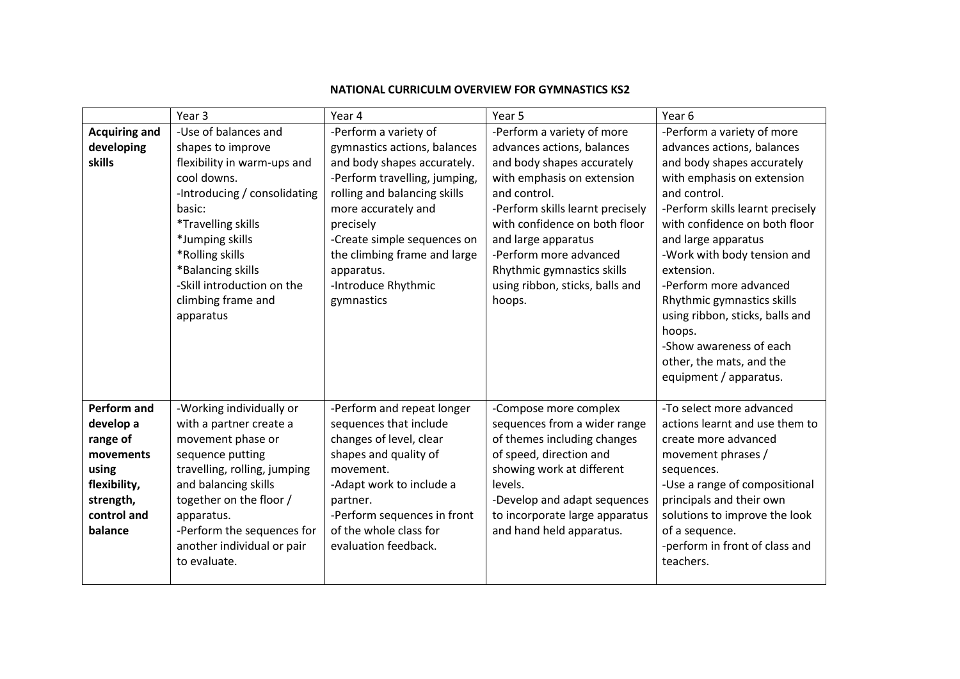|                                                                                                                          | Year <sub>3</sub>                                                                                                                                                                                                                                                                   | Year 4                                                                                                                                                                                                                                                                                                      | Year 5                                                                                                                                                                                                                                                                                                                                | Year <sub>6</sub>                                                                                                                                                                                                                                                                                                                                                                                                                                                   |
|--------------------------------------------------------------------------------------------------------------------------|-------------------------------------------------------------------------------------------------------------------------------------------------------------------------------------------------------------------------------------------------------------------------------------|-------------------------------------------------------------------------------------------------------------------------------------------------------------------------------------------------------------------------------------------------------------------------------------------------------------|---------------------------------------------------------------------------------------------------------------------------------------------------------------------------------------------------------------------------------------------------------------------------------------------------------------------------------------|---------------------------------------------------------------------------------------------------------------------------------------------------------------------------------------------------------------------------------------------------------------------------------------------------------------------------------------------------------------------------------------------------------------------------------------------------------------------|
| <b>Acquiring and</b><br>developing<br>skills                                                                             | -Use of balances and<br>shapes to improve<br>flexibility in warm-ups and<br>cool downs.<br>-Introducing / consolidating<br>basic:<br>*Travelling skills<br>*Jumping skills<br>*Rolling skills<br>*Balancing skills<br>-Skill introduction on the<br>climbing frame and<br>apparatus | -Perform a variety of<br>gymnastics actions, balances<br>and body shapes accurately.<br>-Perform travelling, jumping,<br>rolling and balancing skills<br>more accurately and<br>precisely<br>-Create simple sequences on<br>the climbing frame and large<br>apparatus.<br>-Introduce Rhythmic<br>gymnastics | -Perform a variety of more<br>advances actions, balances<br>and body shapes accurately<br>with emphasis on extension<br>and control.<br>-Perform skills learnt precisely<br>with confidence on both floor<br>and large apparatus<br>-Perform more advanced<br>Rhythmic gymnastics skills<br>using ribbon, sticks, balls and<br>hoops. | -Perform a variety of more<br>advances actions, balances<br>and body shapes accurately<br>with emphasis on extension<br>and control.<br>-Perform skills learnt precisely<br>with confidence on both floor<br>and large apparatus<br>-Work with body tension and<br>extension.<br>-Perform more advanced<br>Rhythmic gymnastics skills<br>using ribbon, sticks, balls and<br>hoops.<br>-Show awareness of each<br>other, the mats, and the<br>equipment / apparatus. |
| <b>Perform and</b><br>develop a<br>range of<br>movements<br>using<br>flexibility,<br>strength,<br>control and<br>balance | -Working individually or<br>with a partner create a<br>movement phase or<br>sequence putting<br>travelling, rolling, jumping<br>and balancing skills<br>together on the floor /<br>apparatus.<br>-Perform the sequences for<br>another individual or pair<br>to evaluate.           | -Perform and repeat longer<br>sequences that include<br>changes of level, clear<br>shapes and quality of<br>movement.<br>-Adapt work to include a<br>partner.<br>-Perform sequences in front<br>of the whole class for<br>evaluation feedback.                                                              | -Compose more complex<br>sequences from a wider range<br>of themes including changes<br>of speed, direction and<br>showing work at different<br>levels.<br>-Develop and adapt sequences<br>to incorporate large apparatus<br>and hand held apparatus.                                                                                 | -To select more advanced<br>actions learnt and use them to<br>create more advanced<br>movement phrases /<br>sequences.<br>-Use a range of compositional<br>principals and their own<br>solutions to improve the look<br>of a sequence.<br>-perform in front of class and<br>teachers.                                                                                                                                                                               |

## **NATIONAL CURRICULM OVERVIEW FOR GYMNASTICS KS2**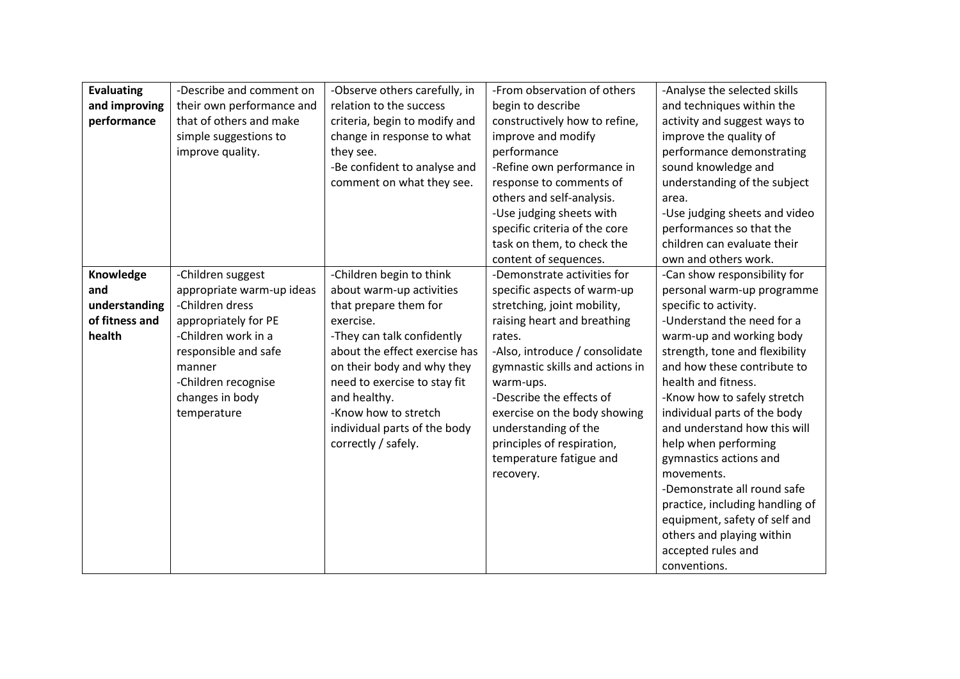| <b>Evaluating</b> | -Describe and comment on  | -Observe others carefully, in | -From observation of others     | -Analyse the selected skills    |
|-------------------|---------------------------|-------------------------------|---------------------------------|---------------------------------|
| and improving     | their own performance and | relation to the success       | begin to describe               | and techniques within the       |
| performance       | that of others and make   | criteria, begin to modify and | constructively how to refine,   | activity and suggest ways to    |
|                   |                           |                               |                                 |                                 |
|                   | simple suggestions to     | change in response to what    | improve and modify              | improve the quality of          |
|                   | improve quality.          | they see.                     | performance                     | performance demonstrating       |
|                   |                           | -Be confident to analyse and  | -Refine own performance in      | sound knowledge and             |
|                   |                           | comment on what they see.     | response to comments of         | understanding of the subject    |
|                   |                           |                               | others and self-analysis.       | area.                           |
|                   |                           |                               | -Use judging sheets with        | -Use judging sheets and video   |
|                   |                           |                               | specific criteria of the core   | performances so that the        |
|                   |                           |                               | task on them, to check the      | children can evaluate their     |
|                   |                           |                               | content of sequences.           | own and others work.            |
| Knowledge         | -Children suggest         | -Children begin to think      | -Demonstrate activities for     | -Can show responsibility for    |
| and               | appropriate warm-up ideas | about warm-up activities      | specific aspects of warm-up     | personal warm-up programme      |
| understanding     | -Children dress           | that prepare them for         | stretching, joint mobility,     | specific to activity.           |
| of fitness and    | appropriately for PE      | exercise.                     | raising heart and breathing     | -Understand the need for a      |
| health            | -Children work in a       | -They can talk confidently    | rates.                          | warm-up and working body        |
|                   | responsible and safe      | about the effect exercise has | -Also, introduce / consolidate  | strength, tone and flexibility  |
|                   | manner                    | on their body and why they    | gymnastic skills and actions in | and how these contribute to     |
|                   | -Children recognise       | need to exercise to stay fit  | warm-ups.                       | health and fitness.             |
|                   | changes in body           | and healthy.                  | -Describe the effects of        | -Know how to safely stretch     |
|                   | temperature               | -Know how to stretch          | exercise on the body showing    | individual parts of the body    |
|                   |                           | individual parts of the body  | understanding of the            | and understand how this will    |
|                   |                           | correctly / safely.           | principles of respiration,      | help when performing            |
|                   |                           |                               | temperature fatigue and         | gymnastics actions and          |
|                   |                           |                               | recovery.                       | movements.                      |
|                   |                           |                               |                                 | -Demonstrate all round safe     |
|                   |                           |                               |                                 | practice, including handling of |
|                   |                           |                               |                                 | equipment, safety of self and   |
|                   |                           |                               |                                 | others and playing within       |
|                   |                           |                               |                                 | accepted rules and              |
|                   |                           |                               |                                 | conventions.                    |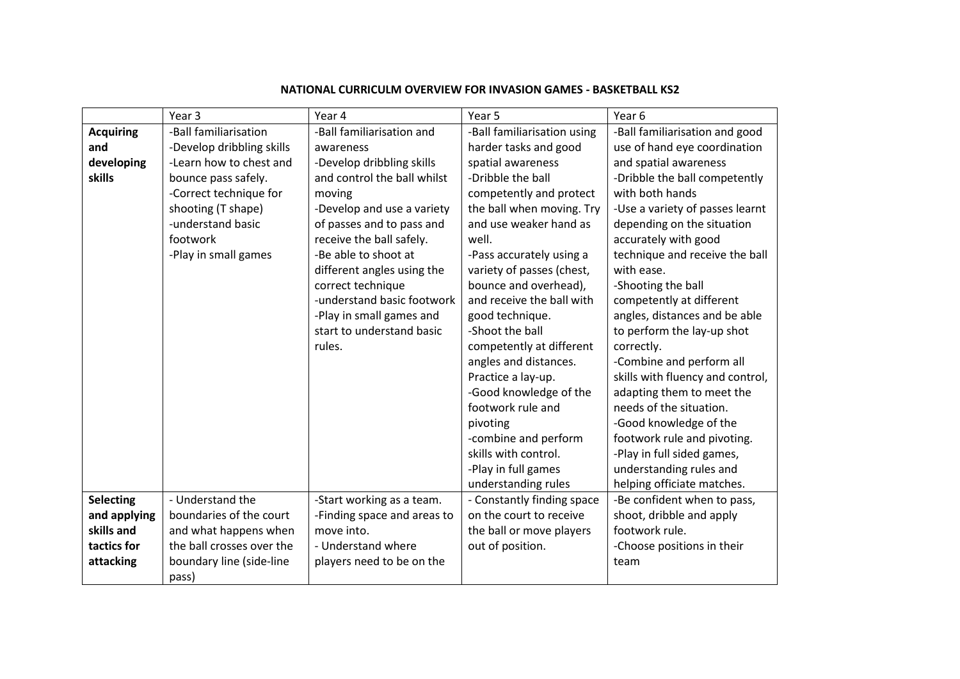|                  | Year <sub>3</sub>                 | Year 4                      | Year 5                      | Year 6                           |
|------------------|-----------------------------------|-----------------------------|-----------------------------|----------------------------------|
| <b>Acquiring</b> | -Ball familiarisation             | -Ball familiarisation and   | -Ball familiarisation using | -Ball familiarisation and good   |
| and              | -Develop dribbling skills         | awareness                   | harder tasks and good       | use of hand eye coordination     |
| developing       | -Learn how to chest and           | -Develop dribbling skills   | spatial awareness           | and spatial awareness            |
| skills           | bounce pass safely.               | and control the ball whilst | -Dribble the ball           | -Dribble the ball competently    |
|                  | -Correct technique for            | moving                      | competently and protect     | with both hands                  |
|                  | shooting (T shape)                | -Develop and use a variety  | the ball when moving. Try   | -Use a variety of passes learnt  |
|                  | -understand basic                 | of passes and to pass and   | and use weaker hand as      | depending on the situation       |
|                  | footwork                          | receive the ball safely.    | well.                       | accurately with good             |
|                  | -Play in small games              | -Be able to shoot at        | -Pass accurately using a    | technique and receive the ball   |
|                  |                                   | different angles using the  | variety of passes (chest,   | with ease.                       |
|                  |                                   | correct technique           | bounce and overhead),       | -Shooting the ball               |
|                  |                                   | -understand basic footwork  | and receive the ball with   | competently at different         |
|                  |                                   | -Play in small games and    | good technique.             | angles, distances and be able    |
|                  |                                   | start to understand basic   | -Shoot the ball             | to perform the lay-up shot       |
|                  |                                   | rules.                      | competently at different    | correctly.                       |
|                  |                                   |                             | angles and distances.       | -Combine and perform all         |
|                  |                                   |                             | Practice a lay-up.          | skills with fluency and control, |
|                  |                                   |                             | -Good knowledge of the      | adapting them to meet the        |
|                  |                                   |                             | footwork rule and           | needs of the situation.          |
|                  |                                   |                             | pivoting                    | -Good knowledge of the           |
|                  |                                   |                             | -combine and perform        | footwork rule and pivoting.      |
|                  |                                   |                             | skills with control.        | -Play in full sided games,       |
|                  |                                   |                             | -Play in full games         | understanding rules and          |
|                  |                                   |                             | understanding rules         | helping officiate matches.       |
| <b>Selecting</b> | - Understand the                  | -Start working as a team.   | - Constantly finding space  | -Be confident when to pass,      |
| and applying     | boundaries of the court           | -Finding space and areas to | on the court to receive     | shoot, dribble and apply         |
| skills and       | and what happens when             | move into.                  | the ball or move players    | footwork rule.                   |
| tactics for      | the ball crosses over the         | - Understand where          | out of position.            | -Choose positions in their       |
| attacking        | boundary line (side-line<br>pass) | players need to be on the   |                             | team                             |

## **NATIONAL CURRICULM OVERVIEW FOR INVASION GAMES - BASKETBALL KS2**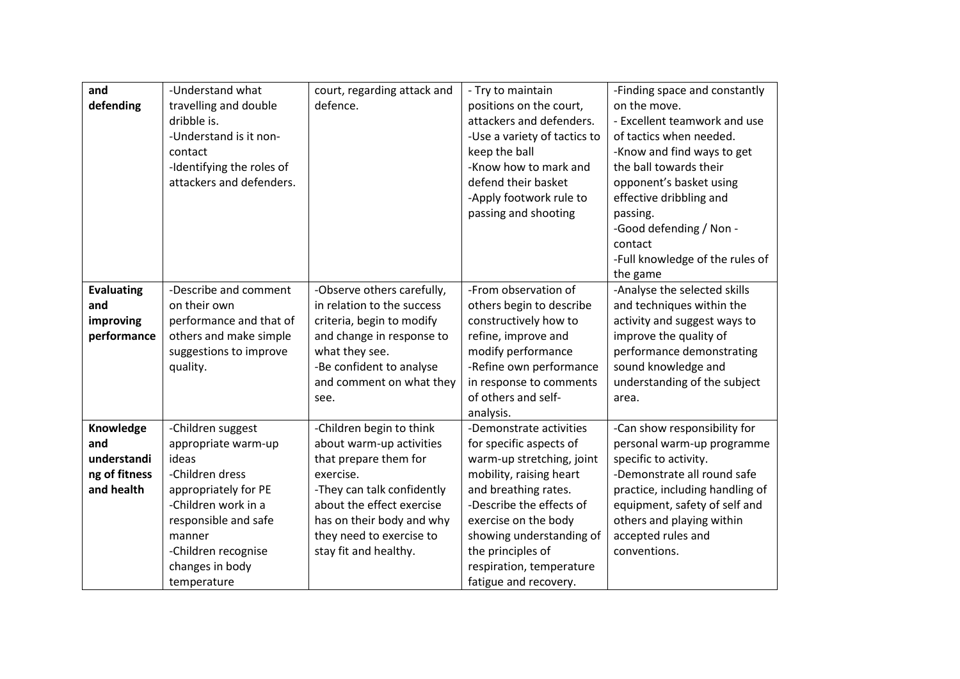| and               | -Understand what          | court, regarding attack and | - Try to maintain            | -Finding space and constantly   |
|-------------------|---------------------------|-----------------------------|------------------------------|---------------------------------|
| defending         | travelling and double     | defence.                    | positions on the court,      | on the move.                    |
|                   | dribble is.               |                             | attackers and defenders.     | - Excellent teamwork and use    |
|                   | -Understand is it non-    |                             | -Use a variety of tactics to | of tactics when needed.         |
|                   | contact                   |                             | keep the ball                | -Know and find ways to get      |
|                   | -Identifying the roles of |                             | -Know how to mark and        | the ball towards their          |
|                   | attackers and defenders.  |                             | defend their basket          | opponent's basket using         |
|                   |                           |                             | -Apply footwork rule to      | effective dribbling and         |
|                   |                           |                             | passing and shooting         | passing.                        |
|                   |                           |                             |                              | -Good defending / Non -         |
|                   |                           |                             |                              | contact                         |
|                   |                           |                             |                              | -Full knowledge of the rules of |
|                   |                           |                             |                              | the game                        |
| <b>Evaluating</b> | -Describe and comment     | -Observe others carefully,  | -From observation of         | -Analyse the selected skills    |
| and               | on their own              | in relation to the success  | others begin to describe     | and techniques within the       |
| improving         | performance and that of   | criteria, begin to modify   | constructively how to        | activity and suggest ways to    |
| performance       | others and make simple    | and change in response to   | refine, improve and          | improve the quality of          |
|                   | suggestions to improve    | what they see.              | modify performance           | performance demonstrating       |
|                   | quality.                  | -Be confident to analyse    | -Refine own performance      | sound knowledge and             |
|                   |                           | and comment on what they    | in response to comments      | understanding of the subject    |
|                   |                           | see.                        | of others and self-          | area.                           |
|                   |                           |                             | analysis.                    |                                 |
| Knowledge         | -Children suggest         | -Children begin to think    | -Demonstrate activities      | -Can show responsibility for    |
| and               | appropriate warm-up       | about warm-up activities    | for specific aspects of      | personal warm-up programme      |
| understandi       | ideas                     | that prepare them for       | warm-up stretching, joint    | specific to activity.           |
| ng of fitness     | -Children dress           | exercise.                   | mobility, raising heart      | -Demonstrate all round safe     |
| and health        | appropriately for PE      | -They can talk confidently  | and breathing rates.         | practice, including handling of |
|                   | -Children work in a       | about the effect exercise   | -Describe the effects of     | equipment, safety of self and   |
|                   | responsible and safe      | has on their body and why   | exercise on the body         | others and playing within       |
|                   | manner                    | they need to exercise to    | showing understanding of     | accepted rules and              |
|                   | -Children recognise       | stay fit and healthy.       | the principles of            | conventions.                    |
|                   | changes in body           |                             | respiration, temperature     |                                 |
|                   | temperature               |                             | fatigue and recovery.        |                                 |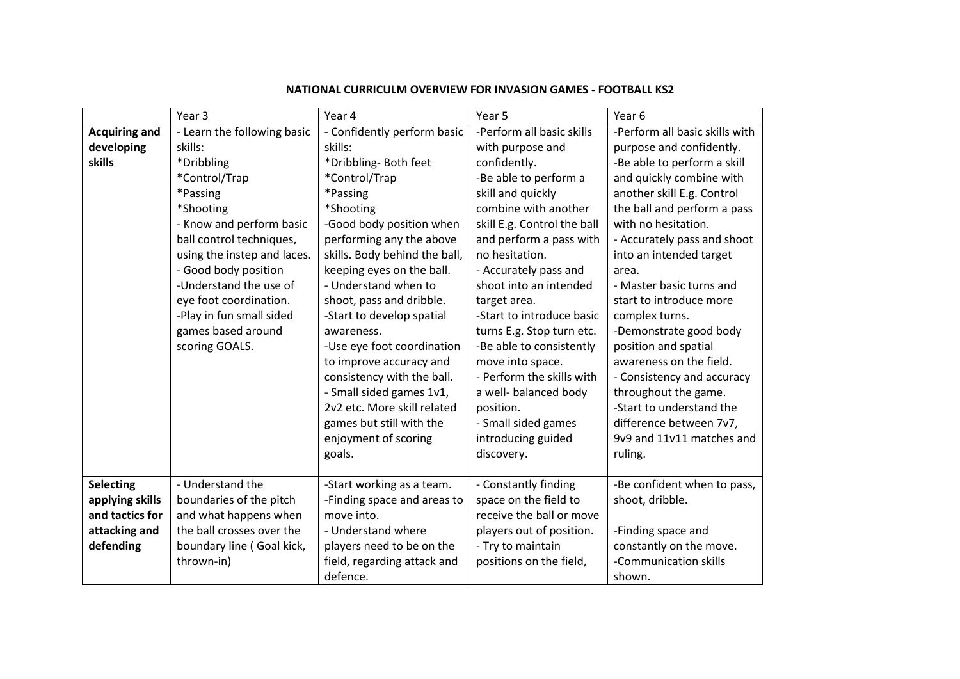|                      | Year <sub>3</sub>           | Year 4                        | Year <sub>5</sub>           | Year 6                         |
|----------------------|-----------------------------|-------------------------------|-----------------------------|--------------------------------|
| <b>Acquiring and</b> | - Learn the following basic | - Confidently perform basic   | -Perform all basic skills   | -Perform all basic skills with |
| developing           | skills:                     | skills:                       | with purpose and            | purpose and confidently.       |
| skills               | *Dribbling                  | *Dribbling- Both feet         | confidently.                | -Be able to perform a skill    |
|                      | *Control/Trap               | *Control/Trap                 | -Be able to perform a       | and quickly combine with       |
|                      | *Passing                    | *Passing                      | skill and quickly           | another skill E.g. Control     |
|                      | *Shooting                   | *Shooting                     | combine with another        | the ball and perform a pass    |
|                      | - Know and perform basic    | -Good body position when      | skill E.g. Control the ball | with no hesitation.            |
|                      | ball control techniques,    | performing any the above      | and perform a pass with     | - Accurately pass and shoot    |
|                      | using the instep and laces. | skills. Body behind the ball, | no hesitation.              | into an intended target        |
|                      | - Good body position        | keeping eyes on the ball.     | - Accurately pass and       | area.                          |
|                      | -Understand the use of      | - Understand when to          | shoot into an intended      | - Master basic turns and       |
|                      | eye foot coordination.      | shoot, pass and dribble.      | target area.                | start to introduce more        |
|                      | -Play in fun small sided    | -Start to develop spatial     | -Start to introduce basic   | complex turns.                 |
|                      | games based around          | awareness.                    | turns E.g. Stop turn etc.   | -Demonstrate good body         |
|                      | scoring GOALS.              | -Use eye foot coordination    | -Be able to consistently    | position and spatial           |
|                      |                             | to improve accuracy and       | move into space.            | awareness on the field.        |
|                      |                             | consistency with the ball.    | - Perform the skills with   | - Consistency and accuracy     |
|                      |                             | - Small sided games 1v1,      | a well- balanced body       | throughout the game.           |
|                      |                             | 2v2 etc. More skill related   | position.                   | -Start to understand the       |
|                      |                             | games but still with the      | - Small sided games         | difference between 7v7,        |
|                      |                             | enjoyment of scoring          | introducing guided          | 9v9 and 11v11 matches and      |
|                      |                             | goals.                        | discovery.                  | ruling.                        |
|                      |                             |                               |                             |                                |
| <b>Selecting</b>     | - Understand the            | -Start working as a team.     | - Constantly finding        | -Be confident when to pass,    |
| applying skills      | boundaries of the pitch     | -Finding space and areas to   | space on the field to       | shoot, dribble.                |
| and tactics for      | and what happens when       | move into.                    | receive the ball or move    |                                |
| attacking and        | the ball crosses over the   | - Understand where            | players out of position.    | -Finding space and             |
| defending            | boundary line (Goal kick,   | players need to be on the     | - Try to maintain           | constantly on the move.        |
|                      | thrown-in)                  | field, regarding attack and   | positions on the field,     | -Communication skills          |
|                      |                             | defence.                      |                             | shown.                         |

## **NATIONAL CURRICULM OVERVIEW FOR INVASION GAMES - FOOTBALL KS2**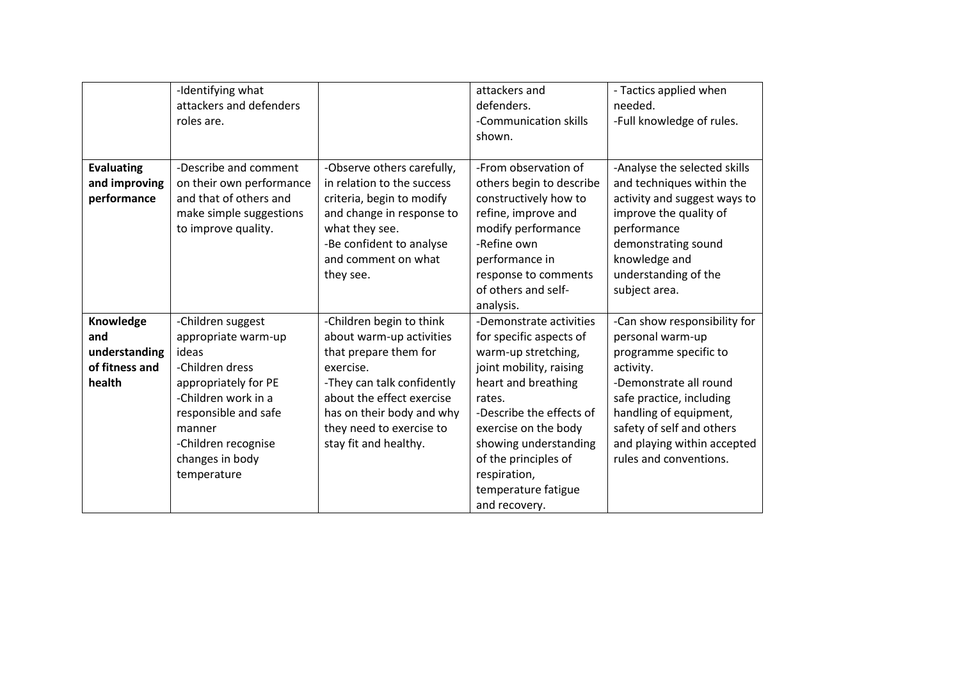|                                                               | -Identifying what<br>attackers and defenders<br>roles are.                                                                                                                                                     |                                                                                                                                                                                                                                         | attackers and<br>defenders.<br>-Communication skills<br>shown.                                                                                                                                                                                                                                     | - Tactics applied when<br>needed.<br>-Full knowledge of rules.                                                                                                                                                                                               |
|---------------------------------------------------------------|----------------------------------------------------------------------------------------------------------------------------------------------------------------------------------------------------------------|-----------------------------------------------------------------------------------------------------------------------------------------------------------------------------------------------------------------------------------------|----------------------------------------------------------------------------------------------------------------------------------------------------------------------------------------------------------------------------------------------------------------------------------------------------|--------------------------------------------------------------------------------------------------------------------------------------------------------------------------------------------------------------------------------------------------------------|
| <b>Evaluating</b><br>and improving<br>performance             | -Describe and comment<br>on their own performance<br>and that of others and<br>make simple suggestions<br>to improve quality.                                                                                  | -Observe others carefully,<br>in relation to the success<br>criteria, begin to modify<br>and change in response to<br>what they see.<br>-Be confident to analyse<br>and comment on what<br>they see.                                    | -From observation of<br>others begin to describe<br>constructively how to<br>refine, improve and<br>modify performance<br>-Refine own<br>performance in<br>response to comments<br>of others and self-<br>analysis.                                                                                | -Analyse the selected skills<br>and techniques within the<br>activity and suggest ways to<br>improve the quality of<br>performance<br>demonstrating sound<br>knowledge and<br>understanding of the<br>subject area.                                          |
| Knowledge<br>and<br>understanding<br>of fitness and<br>health | -Children suggest<br>appropriate warm-up<br>ideas<br>-Children dress<br>appropriately for PE<br>-Children work in a<br>responsible and safe<br>manner<br>-Children recognise<br>changes in body<br>temperature | -Children begin to think<br>about warm-up activities<br>that prepare them for<br>exercise.<br>-They can talk confidently<br>about the effect exercise<br>has on their body and why<br>they need to exercise to<br>stay fit and healthy. | -Demonstrate activities<br>for specific aspects of<br>warm-up stretching,<br>joint mobility, raising<br>heart and breathing<br>rates.<br>-Describe the effects of<br>exercise on the body<br>showing understanding<br>of the principles of<br>respiration,<br>temperature fatigue<br>and recovery. | -Can show responsibility for<br>personal warm-up<br>programme specific to<br>activity.<br>-Demonstrate all round<br>safe practice, including<br>handling of equipment,<br>safety of self and others<br>and playing within accepted<br>rules and conventions. |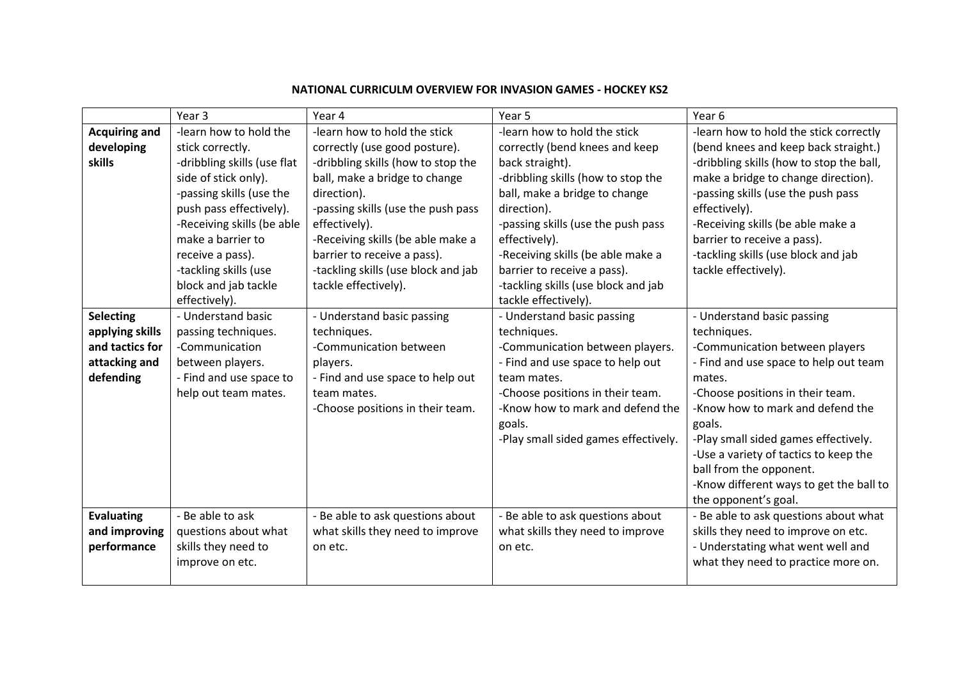|                                                                                      | Year <sub>3</sub>                                                                                                                                                                                                                                                                                 | Year 4                                                                                                                                                                                                                                                                                                                                        | Year 5                                                                                                                                                                                                                                                                                                                                                            | Year 6                                                                                                                                                                                                                                                                                                                                                                                          |
|--------------------------------------------------------------------------------------|---------------------------------------------------------------------------------------------------------------------------------------------------------------------------------------------------------------------------------------------------------------------------------------------------|-----------------------------------------------------------------------------------------------------------------------------------------------------------------------------------------------------------------------------------------------------------------------------------------------------------------------------------------------|-------------------------------------------------------------------------------------------------------------------------------------------------------------------------------------------------------------------------------------------------------------------------------------------------------------------------------------------------------------------|-------------------------------------------------------------------------------------------------------------------------------------------------------------------------------------------------------------------------------------------------------------------------------------------------------------------------------------------------------------------------------------------------|
| <b>Acquiring and</b><br>developing<br><b>skills</b>                                  | -learn how to hold the<br>stick correctly.<br>-dribbling skills (use flat<br>side of stick only).<br>-passing skills (use the<br>push pass effectively).<br>-Receiving skills (be able<br>make a barrier to<br>receive a pass).<br>-tackling skills (use<br>block and jab tackle<br>effectively). | -learn how to hold the stick<br>correctly (use good posture).<br>-dribbling skills (how to stop the<br>ball, make a bridge to change<br>direction).<br>-passing skills (use the push pass<br>effectively).<br>-Receiving skills (be able make a<br>barrier to receive a pass).<br>-tackling skills (use block and jab<br>tackle effectively). | -learn how to hold the stick<br>correctly (bend knees and keep<br>back straight).<br>-dribbling skills (how to stop the<br>ball, make a bridge to change<br>direction).<br>-passing skills (use the push pass<br>effectively).<br>-Receiving skills (be able make a<br>barrier to receive a pass).<br>-tackling skills (use block and jab<br>tackle effectively). | -learn how to hold the stick correctly<br>(bend knees and keep back straight.)<br>-dribbling skills (how to stop the ball,<br>make a bridge to change direction).<br>-passing skills (use the push pass<br>effectively).<br>-Receiving skills (be able make a<br>barrier to receive a pass).<br>-tackling skills (use block and jab<br>tackle effectively).                                     |
| <b>Selecting</b><br>applying skills<br>and tactics for<br>attacking and<br>defending | - Understand basic<br>passing techniques.<br>-Communication<br>between players.<br>- Find and use space to<br>help out team mates.                                                                                                                                                                | - Understand basic passing<br>techniques.<br>-Communication between<br>players.<br>- Find and use space to help out<br>team mates.<br>-Choose positions in their team.                                                                                                                                                                        | - Understand basic passing<br>techniques.<br>-Communication between players.<br>- Find and use space to help out<br>team mates.<br>-Choose positions in their team.<br>-Know how to mark and defend the<br>goals.<br>-Play small sided games effectively.                                                                                                         | - Understand basic passing<br>techniques.<br>-Communication between players<br>- Find and use space to help out team<br>mates.<br>-Choose positions in their team.<br>-Know how to mark and defend the<br>goals.<br>-Play small sided games effectively.<br>-Use a variety of tactics to keep the<br>ball from the opponent.<br>-Know different ways to get the ball to<br>the opponent's goal. |
| <b>Evaluating</b><br>and improving<br>performance                                    | - Be able to ask<br>questions about what<br>skills they need to<br>improve on etc.                                                                                                                                                                                                                | - Be able to ask questions about<br>what skills they need to improve<br>on etc.                                                                                                                                                                                                                                                               | - Be able to ask questions about<br>what skills they need to improve<br>on etc.                                                                                                                                                                                                                                                                                   | - Be able to ask questions about what<br>skills they need to improve on etc.<br>- Understating what went well and<br>what they need to practice more on.                                                                                                                                                                                                                                        |

## **NATIONAL CURRICULM OVERVIEW FOR INVASION GAMES - HOCKEY KS2**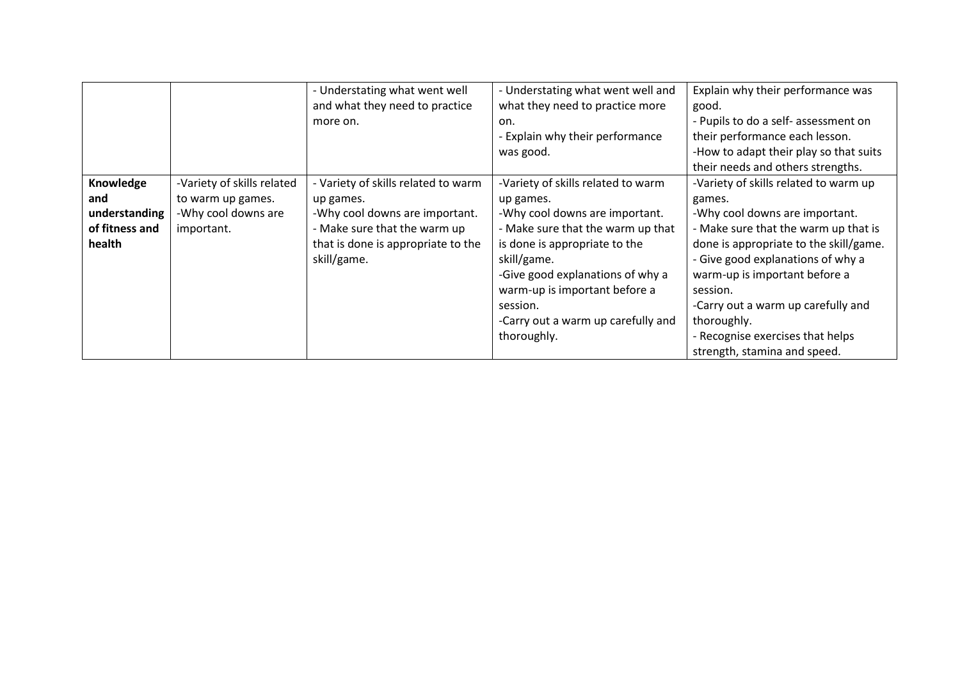|                |                            | - Understating what went well       | - Understating what went well and  | Explain why their performance was      |
|----------------|----------------------------|-------------------------------------|------------------------------------|----------------------------------------|
|                |                            | and what they need to practice      | what they need to practice more    | good.                                  |
|                |                            | more on.                            | on.                                | - Pupils to do a self- assessment on   |
|                |                            |                                     | - Explain why their performance    | their performance each lesson.         |
|                |                            |                                     | was good.                          | -How to adapt their play so that suits |
|                |                            |                                     |                                    | their needs and others strengths.      |
| Knowledge      | -Variety of skills related | - Variety of skills related to warm | -Variety of skills related to warm | -Variety of skills related to warm up  |
| and            | to warm up games.          | up games.                           | up games.                          | games.                                 |
| understanding  | -Why cool downs are        | -Why cool downs are important.      | -Why cool downs are important.     | -Why cool downs are important.         |
| of fitness and | important.                 | - Make sure that the warm up        | - Make sure that the warm up that  | - Make sure that the warm up that is   |
| health         |                            | that is done is appropriate to the  | is done is appropriate to the      | done is appropriate to the skill/game. |
|                |                            | skill/game.                         | skill/game.                        | - Give good explanations of why a      |
|                |                            |                                     | -Give good explanations of why a   | warm-up is important before a          |
|                |                            |                                     | warm-up is important before a      | session.                               |
|                |                            |                                     | session.                           | -Carry out a warm up carefully and     |
|                |                            |                                     | -Carry out a warm up carefully and | thoroughly.                            |
|                |                            |                                     | thoroughly.                        | - Recognise exercises that helps       |
|                |                            |                                     |                                    | strength, stamina and speed.           |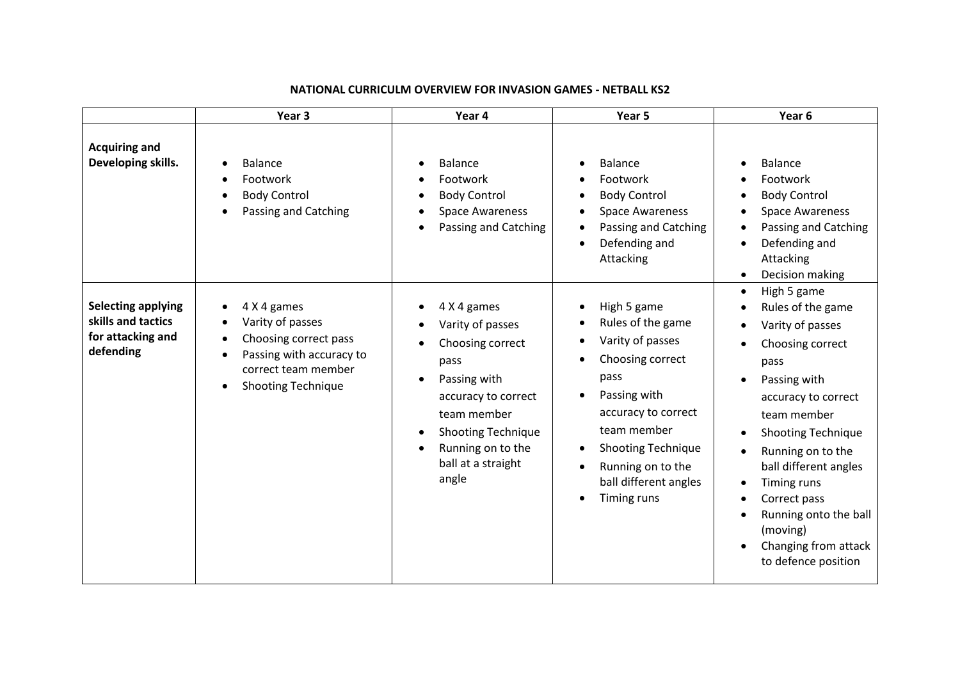|                                                                                   | Year <sub>3</sub>                                                                                                                                     | Year 4                                                                                                                                                                                             | Year 5                                                                                                                                                                                                                                                                                    | Year <sub>6</sub>                                                                                                                                                                                                                                                                                                                                 |
|-----------------------------------------------------------------------------------|-------------------------------------------------------------------------------------------------------------------------------------------------------|----------------------------------------------------------------------------------------------------------------------------------------------------------------------------------------------------|-------------------------------------------------------------------------------------------------------------------------------------------------------------------------------------------------------------------------------------------------------------------------------------------|---------------------------------------------------------------------------------------------------------------------------------------------------------------------------------------------------------------------------------------------------------------------------------------------------------------------------------------------------|
| <b>Acquiring and</b><br>Developing skills.                                        | <b>Balance</b><br>$\bullet$<br>Footwork<br><b>Body Control</b><br>$\bullet$<br>Passing and Catching<br>$\bullet$                                      | <b>Balance</b><br>Footwork<br><b>Body Control</b><br><b>Space Awareness</b><br>Passing and Catching                                                                                                | <b>Balance</b><br>$\bullet$<br>Footwork<br><b>Body Control</b><br><b>Space Awareness</b><br>$\bullet$<br>Passing and Catching<br>Defending and<br>$\bullet$<br>Attacking                                                                                                                  | <b>Balance</b><br>Footwork<br><b>Body Control</b><br><b>Space Awareness</b><br>Passing and Catching<br>Defending and<br>Attacking<br>Decision making                                                                                                                                                                                              |
| <b>Selecting applying</b><br>skills and tactics<br>for attacking and<br>defending | 4 X 4 games<br>Varity of passes<br>Choosing correct pass<br>$\bullet$<br>Passing with accuracy to<br>correct team member<br><b>Shooting Technique</b> | 4 X 4 games<br>Varity of passes<br>Choosing correct<br>pass<br>Passing with<br>accuracy to correct<br>team member<br><b>Shooting Technique</b><br>Running on to the<br>ball at a straight<br>angle | High 5 game<br>Rules of the game<br>Varity of passes<br>Choosing correct<br>$\bullet$<br>pass<br>Passing with<br>$\bullet$<br>accuracy to correct<br>team member<br><b>Shooting Technique</b><br>$\bullet$<br>Running on to the<br>٠<br>ball different angles<br>Timing runs<br>$\bullet$ | High 5 game<br>$\bullet$<br>Rules of the game<br>Varity of passes<br>Choosing correct<br>pass<br>Passing with<br>accuracy to correct<br>team member<br><b>Shooting Technique</b><br>Running on to the<br>ball different angles<br>Timing runs<br>Correct pass<br>Running onto the ball<br>(moving)<br>Changing from attack<br>to defence position |

#### **NATIONAL CURRICULM OVERVIEW FOR INVASION GAMES - NETBALL KS2**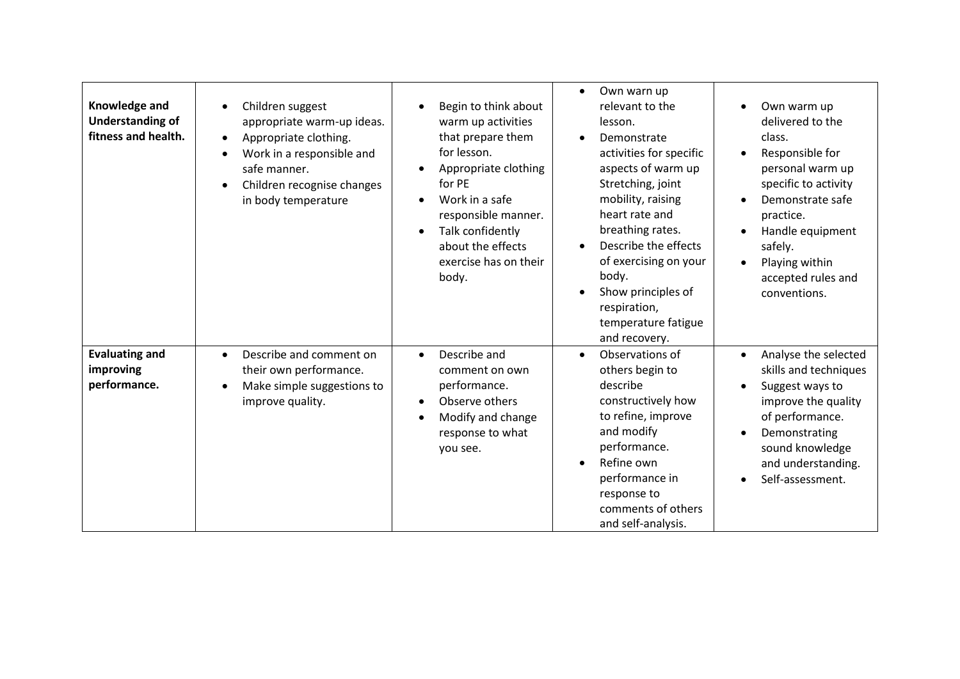| Knowledge and<br><b>Understanding of</b><br>fitness and health. | Children suggest<br>$\bullet$<br>appropriate warm-up ideas.<br>Appropriate clothing.<br>$\bullet$<br>Work in a responsible and<br>$\bullet$<br>safe manner.<br>Children recognise changes<br>$\bullet$<br>in body temperature | Begin to think about<br>warm up activities<br>that prepare them<br>for lesson.<br>Appropriate clothing<br>for PE<br>Work in a safe<br>responsible manner.<br>Talk confidently<br>about the effects<br>exercise has on their<br>body. | Own warn up<br>$\bullet$<br>relevant to the<br>lesson.<br>Demonstrate<br>activities for specific<br>aspects of warm up<br>Stretching, joint<br>mobility, raising<br>heart rate and<br>breathing rates.<br>Describe the effects<br>of exercising on your<br>body.<br>Show principles of<br>respiration,<br>temperature fatigue<br>and recovery. | Own warm up<br>delivered to the<br>class.<br>Responsible for<br>personal warm up<br>specific to activity<br>Demonstrate safe<br>practice.<br>Handle equipment<br>safely.<br>Playing within<br>$\bullet$<br>accepted rules and<br>conventions. |
|-----------------------------------------------------------------|-------------------------------------------------------------------------------------------------------------------------------------------------------------------------------------------------------------------------------|--------------------------------------------------------------------------------------------------------------------------------------------------------------------------------------------------------------------------------------|------------------------------------------------------------------------------------------------------------------------------------------------------------------------------------------------------------------------------------------------------------------------------------------------------------------------------------------------|-----------------------------------------------------------------------------------------------------------------------------------------------------------------------------------------------------------------------------------------------|
| <b>Evaluating and</b><br>improving<br>performance.              | Describe and comment on<br>$\bullet$<br>their own performance.<br>Make simple suggestions to<br>improve quality.                                                                                                              | Describe and<br>$\bullet$<br>comment on own<br>performance.<br>Observe others<br>Modify and change<br>response to what<br>you see.                                                                                                   | Observations of<br>$\bullet$<br>others begin to<br>describe<br>constructively how<br>to refine, improve<br>and modify<br>performance.<br>Refine own<br>$\bullet$<br>performance in<br>response to<br>comments of others<br>and self-analysis.                                                                                                  | Analyse the selected<br>$\bullet$<br>skills and techniques<br>Suggest ways to<br>improve the quality<br>of performance.<br>Demonstrating<br>sound knowledge<br>and understanding.<br>Self-assessment.                                         |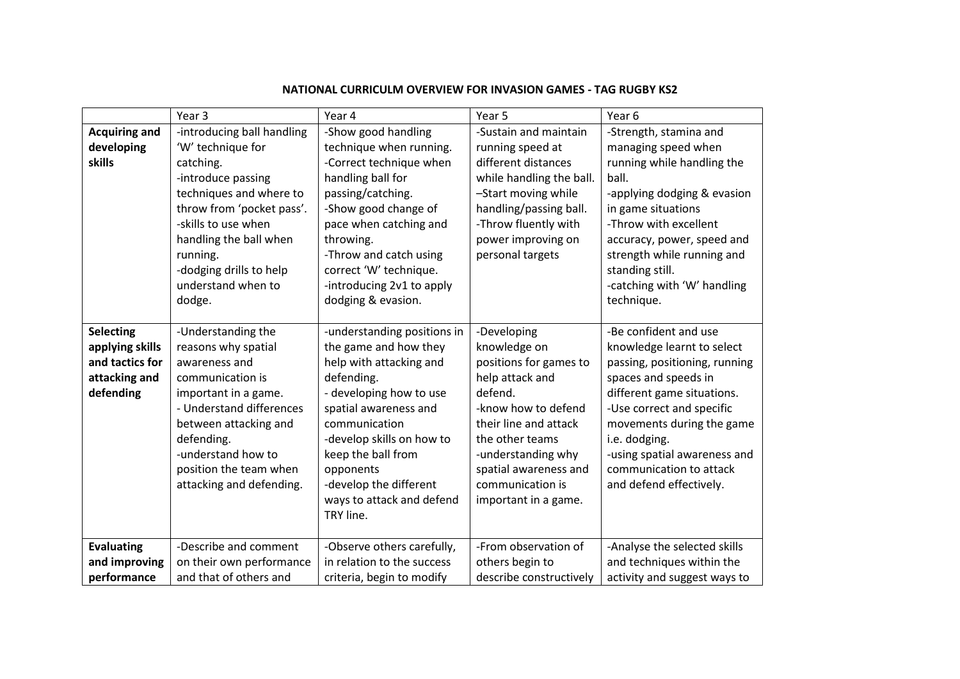|                                                                                      | Year 3                                                                                                                                                                                                                                                             | Year 4                                                                                                                                                                                                                                                                                                 | Year 5                                                                                                                                                                                                                                            | Year 6                                                                                                                                                                                                                                                                                                      |
|--------------------------------------------------------------------------------------|--------------------------------------------------------------------------------------------------------------------------------------------------------------------------------------------------------------------------------------------------------------------|--------------------------------------------------------------------------------------------------------------------------------------------------------------------------------------------------------------------------------------------------------------------------------------------------------|---------------------------------------------------------------------------------------------------------------------------------------------------------------------------------------------------------------------------------------------------|-------------------------------------------------------------------------------------------------------------------------------------------------------------------------------------------------------------------------------------------------------------------------------------------------------------|
| <b>Acquiring and</b><br>developing<br>skills                                         | -introducing ball handling<br>'W' technique for<br>catching.<br>-introduce passing<br>techniques and where to<br>throw from 'pocket pass'.<br>-skills to use when<br>handling the ball when<br>running.<br>-dodging drills to help<br>understand when to<br>dodge. | -Show good handling<br>technique when running.<br>-Correct technique when<br>handling ball for<br>passing/catching.<br>-Show good change of<br>pace when catching and<br>throwing.<br>-Throw and catch using<br>correct 'W' technique.<br>-introducing 2v1 to apply<br>dodging & evasion.              | -Sustain and maintain<br>running speed at<br>different distances<br>while handling the ball.<br>-Start moving while<br>handling/passing ball.<br>-Throw fluently with<br>power improving on<br>personal targets                                   | -Strength, stamina and<br>managing speed when<br>running while handling the<br>ball.<br>-applying dodging & evasion<br>in game situations<br>-Throw with excellent<br>accuracy, power, speed and<br>strength while running and<br>standing still.<br>-catching with 'W' handling<br>technique.              |
| <b>Selecting</b><br>applying skills<br>and tactics for<br>attacking and<br>defending | -Understanding the<br>reasons why spatial<br>awareness and<br>communication is<br>important in a game.<br>- Understand differences<br>between attacking and<br>defending.<br>-understand how to<br>position the team when<br>attacking and defending.              | -understanding positions in<br>the game and how they<br>help with attacking and<br>defending.<br>- developing how to use<br>spatial awareness and<br>communication<br>-develop skills on how to<br>keep the ball from<br>opponents<br>-develop the different<br>ways to attack and defend<br>TRY line. | -Developing<br>knowledge on<br>positions for games to<br>help attack and<br>defend.<br>-know how to defend<br>their line and attack<br>the other teams<br>-understanding why<br>spatial awareness and<br>communication is<br>important in a game. | -Be confident and use<br>knowledge learnt to select<br>passing, positioning, running<br>spaces and speeds in<br>different game situations.<br>-Use correct and specific<br>movements during the game<br>i.e. dodging.<br>-using spatial awareness and<br>communication to attack<br>and defend effectively. |
| <b>Evaluating</b>                                                                    | -Describe and comment                                                                                                                                                                                                                                              | -Observe others carefully,                                                                                                                                                                                                                                                                             | -From observation of                                                                                                                                                                                                                              | -Analyse the selected skills                                                                                                                                                                                                                                                                                |
| and improving                                                                        | on their own performance                                                                                                                                                                                                                                           | in relation to the success                                                                                                                                                                                                                                                                             | others begin to                                                                                                                                                                                                                                   | and techniques within the                                                                                                                                                                                                                                                                                   |
| performance                                                                          | and that of others and                                                                                                                                                                                                                                             | criteria, begin to modify                                                                                                                                                                                                                                                                              | describe constructively                                                                                                                                                                                                                           | activity and suggest ways to                                                                                                                                                                                                                                                                                |

## **NATIONAL CURRICULM OVERVIEW FOR INVASION GAMES - TAG RUGBY KS2**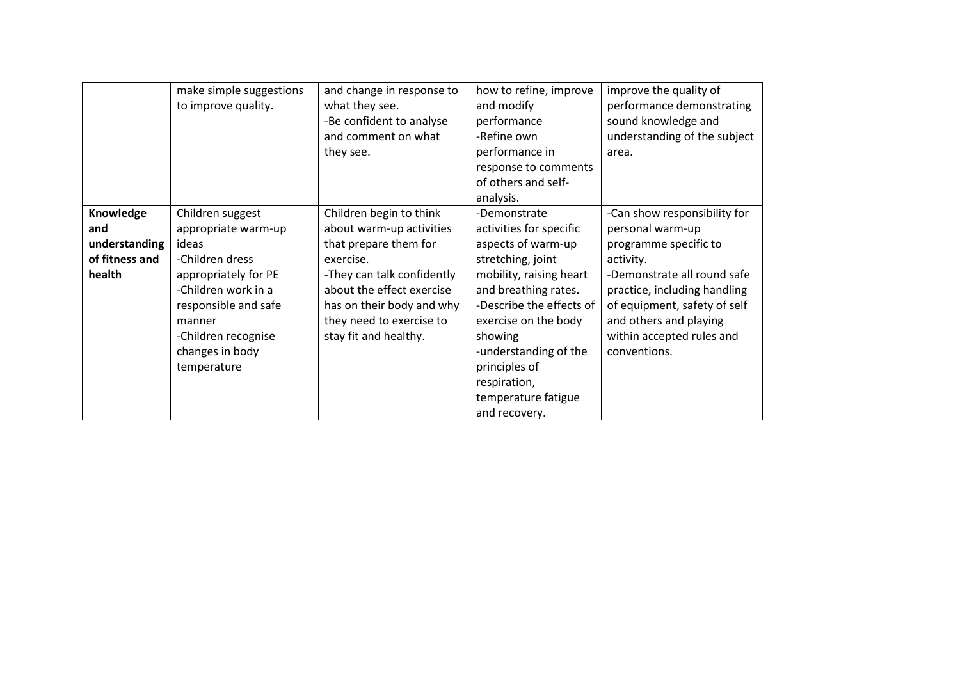|                                                               | make simple suggestions<br>to improve quality.                                                                                                                                                                | and change in response to<br>what they see.<br>-Be confident to analyse<br>and comment on what<br>they see.                                                                                                                            | how to refine, improve<br>and modify<br>performance<br>-Refine own<br>performance in<br>response to comments<br>of others and self-<br>analysis.                                                                                                                                                       | improve the quality of<br>performance demonstrating<br>sound knowledge and<br>understanding of the subject<br>area.                                                                                                                                          |
|---------------------------------------------------------------|---------------------------------------------------------------------------------------------------------------------------------------------------------------------------------------------------------------|----------------------------------------------------------------------------------------------------------------------------------------------------------------------------------------------------------------------------------------|--------------------------------------------------------------------------------------------------------------------------------------------------------------------------------------------------------------------------------------------------------------------------------------------------------|--------------------------------------------------------------------------------------------------------------------------------------------------------------------------------------------------------------------------------------------------------------|
| Knowledge<br>and<br>understanding<br>of fitness and<br>health | Children suggest<br>appropriate warm-up<br>ideas<br>-Children dress<br>appropriately for PE<br>-Children work in a<br>responsible and safe<br>manner<br>-Children recognise<br>changes in body<br>temperature | Children begin to think<br>about warm-up activities<br>that prepare them for<br>exercise.<br>-They can talk confidently<br>about the effect exercise<br>has on their body and why<br>they need to exercise to<br>stay fit and healthy. | -Demonstrate<br>activities for specific<br>aspects of warm-up<br>stretching, joint<br>mobility, raising heart<br>and breathing rates.<br>-Describe the effects of<br>exercise on the body<br>showing<br>-understanding of the<br>principles of<br>respiration,<br>temperature fatigue<br>and recovery. | -Can show responsibility for<br>personal warm-up<br>programme specific to<br>activity.<br>-Demonstrate all round safe<br>practice, including handling<br>of equipment, safety of self<br>and others and playing<br>within accepted rules and<br>conventions. |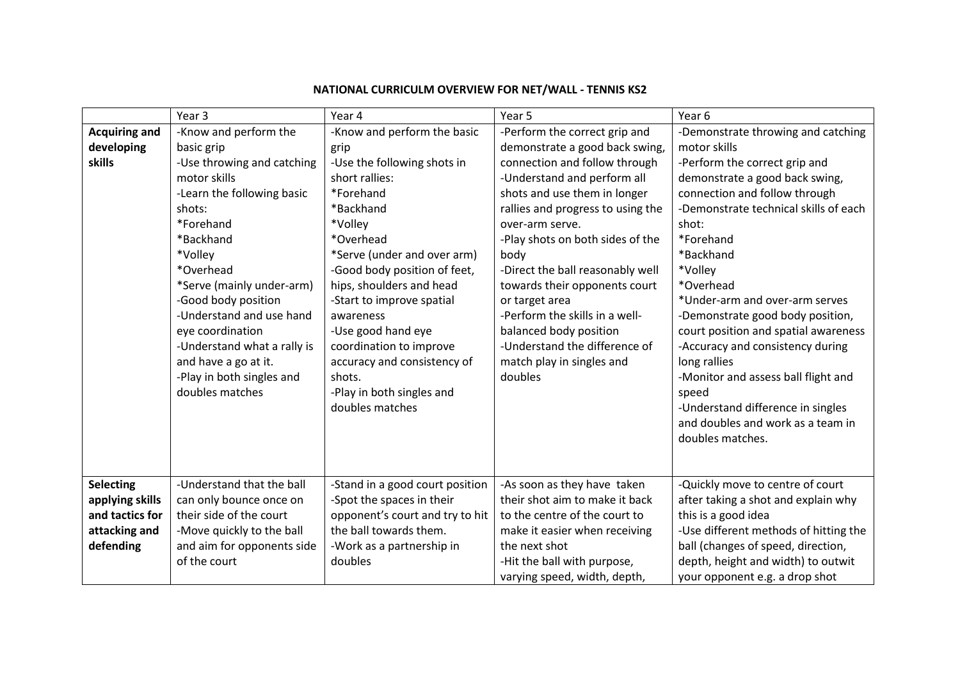|                      | Year 3                      | Year 4                          | Year 5                            | Year 6                                |
|----------------------|-----------------------------|---------------------------------|-----------------------------------|---------------------------------------|
| <b>Acquiring and</b> | -Know and perform the       | -Know and perform the basic     | -Perform the correct grip and     | -Demonstrate throwing and catching    |
| developing           | basic grip                  | grip                            | demonstrate a good back swing,    | motor skills                          |
| skills               | -Use throwing and catching  | -Use the following shots in     | connection and follow through     | -Perform the correct grip and         |
|                      | motor skills                | short rallies:                  | -Understand and perform all       | demonstrate a good back swing,        |
|                      | -Learn the following basic  | *Forehand                       | shots and use them in longer      | connection and follow through         |
|                      | shots:                      | *Backhand                       | rallies and progress to using the | -Demonstrate technical skills of each |
|                      | *Forehand                   | *Volley                         | over-arm serve.                   | shot:                                 |
|                      | *Backhand                   | *Overhead                       | -Play shots on both sides of the  | *Forehand                             |
|                      | *Volley                     | *Serve (under and over arm)     | body                              | *Backhand                             |
|                      | *Overhead                   | -Good body position of feet,    | -Direct the ball reasonably well  | *Volley                               |
|                      | *Serve (mainly under-arm)   | hips, shoulders and head        | towards their opponents court     | *Overhead                             |
|                      | -Good body position         | -Start to improve spatial       | or target area                    | *Under-arm and over-arm serves        |
|                      | -Understand and use hand    | awareness                       | -Perform the skills in a well-    | -Demonstrate good body position,      |
|                      | eye coordination            | -Use good hand eye              | balanced body position            | court position and spatial awareness  |
|                      | -Understand what a rally is | coordination to improve         | -Understand the difference of     | -Accuracy and consistency during      |
|                      | and have a go at it.        | accuracy and consistency of     | match play in singles and         | long rallies                          |
|                      | -Play in both singles and   | shots.                          | doubles                           | -Monitor and assess ball flight and   |
|                      | doubles matches             | -Play in both singles and       |                                   | speed                                 |
|                      |                             | doubles matches                 |                                   | -Understand difference in singles     |
|                      |                             |                                 |                                   | and doubles and work as a team in     |
|                      |                             |                                 |                                   | doubles matches.                      |
|                      |                             |                                 |                                   |                                       |
|                      |                             |                                 |                                   |                                       |
| <b>Selecting</b>     | -Understand that the ball   | -Stand in a good court position | -As soon as they have taken       | -Quickly move to centre of court      |
| applying skills      | can only bounce once on     | -Spot the spaces in their       | their shot aim to make it back    | after taking a shot and explain why   |
| and tactics for      | their side of the court     | opponent's court and try to hit | to the centre of the court to     | this is a good idea                   |
| attacking and        | -Move quickly to the ball   | the ball towards them.          | make it easier when receiving     | -Use different methods of hitting the |
| defending            | and aim for opponents side  | -Work as a partnership in       | the next shot                     | ball (changes of speed, direction,    |
|                      | of the court                | doubles                         | -Hit the ball with purpose,       | depth, height and width) to outwit    |
|                      |                             |                                 | varying speed, width, depth,      | your opponent e.g. a drop shot        |

## **NATIONAL CURRICULM OVERVIEW FOR NET/WALL - TENNIS KS2**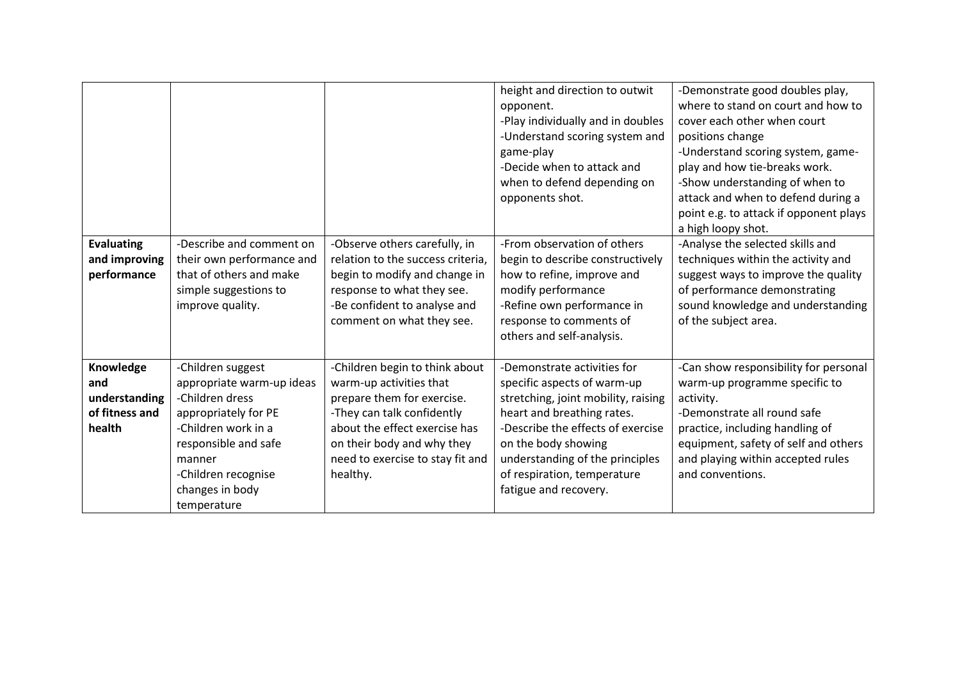|                                                   |                                                                                                                               |                                                                                                                                                                                                | height and direction to outwit<br>opponent.<br>-Play individually and in doubles<br>-Understand scoring system and<br>game-play<br>-Decide when to attack and<br>when to defend depending on<br>opponents shot. | -Demonstrate good doubles play,<br>where to stand on court and how to<br>cover each other when court<br>positions change<br>-Understand scoring system, game-<br>play and how tie-breaks work.<br>-Show understanding of when to<br>attack and when to defend during a<br>point e.g. to attack if opponent plays |
|---------------------------------------------------|-------------------------------------------------------------------------------------------------------------------------------|------------------------------------------------------------------------------------------------------------------------------------------------------------------------------------------------|-----------------------------------------------------------------------------------------------------------------------------------------------------------------------------------------------------------------|------------------------------------------------------------------------------------------------------------------------------------------------------------------------------------------------------------------------------------------------------------------------------------------------------------------|
|                                                   |                                                                                                                               |                                                                                                                                                                                                |                                                                                                                                                                                                                 | a high loopy shot.                                                                                                                                                                                                                                                                                               |
| <b>Evaluating</b><br>and improving<br>performance | -Describe and comment on<br>their own performance and<br>that of others and make<br>simple suggestions to<br>improve quality. | -Observe others carefully, in<br>relation to the success criteria,<br>begin to modify and change in<br>response to what they see.<br>-Be confident to analyse and<br>comment on what they see. | -From observation of others<br>begin to describe constructively<br>how to refine, improve and<br>modify performance<br>-Refine own performance in<br>response to comments of<br>others and self-analysis.       | -Analyse the selected skills and<br>techniques within the activity and<br>suggest ways to improve the quality<br>of performance demonstrating<br>sound knowledge and understanding<br>of the subject area.                                                                                                       |
| Knowledge                                         | -Children suggest                                                                                                             | -Children begin to think about                                                                                                                                                                 | -Demonstrate activities for                                                                                                                                                                                     | -Can show responsibility for personal                                                                                                                                                                                                                                                                            |
| and                                               | appropriate warm-up ideas                                                                                                     | warm-up activities that                                                                                                                                                                        | specific aspects of warm-up                                                                                                                                                                                     | warm-up programme specific to                                                                                                                                                                                                                                                                                    |
| understanding                                     | -Children dress                                                                                                               | prepare them for exercise.                                                                                                                                                                     | stretching, joint mobility, raising                                                                                                                                                                             | activity.                                                                                                                                                                                                                                                                                                        |
| of fitness and                                    | appropriately for PE                                                                                                          | -They can talk confidently                                                                                                                                                                     | heart and breathing rates.                                                                                                                                                                                      | -Demonstrate all round safe                                                                                                                                                                                                                                                                                      |
| health                                            | -Children work in a                                                                                                           | about the effect exercise has                                                                                                                                                                  | -Describe the effects of exercise                                                                                                                                                                               | practice, including handling of                                                                                                                                                                                                                                                                                  |
|                                                   | responsible and safe<br>manner                                                                                                | on their body and why they<br>need to exercise to stay fit and                                                                                                                                 | on the body showing<br>understanding of the principles                                                                                                                                                          | equipment, safety of self and others<br>and playing within accepted rules                                                                                                                                                                                                                                        |
|                                                   | -Children recognise                                                                                                           | healthy.                                                                                                                                                                                       | of respiration, temperature                                                                                                                                                                                     | and conventions.                                                                                                                                                                                                                                                                                                 |
|                                                   | changes in body                                                                                                               |                                                                                                                                                                                                | fatigue and recovery.                                                                                                                                                                                           |                                                                                                                                                                                                                                                                                                                  |
|                                                   | temperature                                                                                                                   |                                                                                                                                                                                                |                                                                                                                                                                                                                 |                                                                                                                                                                                                                                                                                                                  |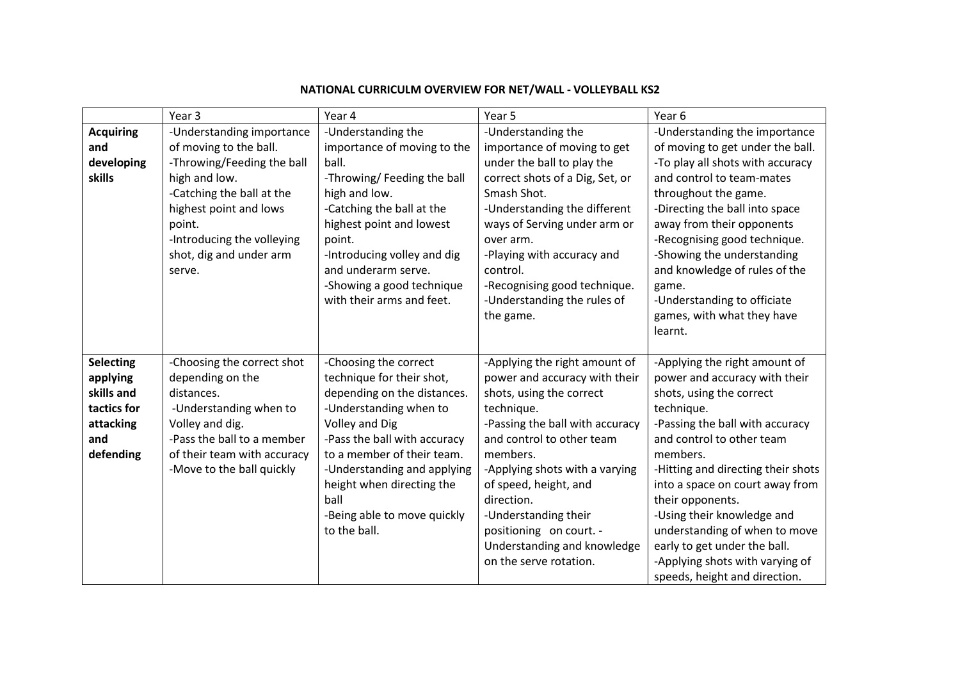|                                                                                            | Year 3                                                                                                                                                                                                                                 | Year 4                                                                                                                                                                                                                                                                                                                | Year 5                                                                                                                                                                                                                                                                                                                                                                    | Year 6                                                                                                                                                                                                                                                                                                                                                                                                                                               |
|--------------------------------------------------------------------------------------------|----------------------------------------------------------------------------------------------------------------------------------------------------------------------------------------------------------------------------------------|-----------------------------------------------------------------------------------------------------------------------------------------------------------------------------------------------------------------------------------------------------------------------------------------------------------------------|---------------------------------------------------------------------------------------------------------------------------------------------------------------------------------------------------------------------------------------------------------------------------------------------------------------------------------------------------------------------------|------------------------------------------------------------------------------------------------------------------------------------------------------------------------------------------------------------------------------------------------------------------------------------------------------------------------------------------------------------------------------------------------------------------------------------------------------|
| <b>Acquiring</b><br>and<br>developing<br>skills                                            | -Understanding importance<br>of moving to the ball.<br>-Throwing/Feeding the ball<br>high and low.<br>-Catching the ball at the<br>highest point and lows<br>point.<br>-Introducing the volleying<br>shot, dig and under arm<br>serve. | -Understanding the<br>importance of moving to the<br>ball.<br>-Throwing/ Feeding the ball<br>high and low.<br>-Catching the ball at the<br>highest point and lowest<br>point.<br>-Introducing volley and dig<br>and underarm serve.<br>-Showing a good technique<br>with their arms and feet.                         | -Understanding the<br>importance of moving to get<br>under the ball to play the<br>correct shots of a Dig, Set, or<br>Smash Shot.<br>-Understanding the different<br>ways of Serving under arm or<br>over arm.<br>-Playing with accuracy and<br>control.<br>-Recognising good technique.<br>-Understanding the rules of<br>the game.                                      | -Understanding the importance<br>of moving to get under the ball.<br>-To play all shots with accuracy<br>and control to team-mates<br>throughout the game.<br>-Directing the ball into space<br>away from their opponents<br>-Recognising good technique.<br>-Showing the understanding<br>and knowledge of rules of the<br>game.<br>-Understanding to officiate<br>games, with what they have<br>learnt.                                            |
| <b>Selecting</b><br>applying<br>skills and<br>tactics for<br>attacking<br>and<br>defending | -Choosing the correct shot<br>depending on the<br>distances.<br>-Understanding when to<br>Volley and dig.<br>-Pass the ball to a member<br>of their team with accuracy<br>-Move to the ball quickly                                    | -Choosing the correct<br>technique for their shot,<br>depending on the distances.<br>-Understanding when to<br><b>Volley and Dig</b><br>-Pass the ball with accuracy<br>to a member of their team.<br>-Understanding and applying<br>height when directing the<br>ball<br>-Being able to move quickly<br>to the ball. | -Applying the right amount of<br>power and accuracy with their<br>shots, using the correct<br>technique.<br>-Passing the ball with accuracy<br>and control to other team<br>members.<br>-Applying shots with a varying<br>of speed, height, and<br>direction.<br>-Understanding their<br>positioning on court. -<br>Understanding and knowledge<br>on the serve rotation. | -Applying the right amount of<br>power and accuracy with their<br>shots, using the correct<br>technique.<br>-Passing the ball with accuracy<br>and control to other team<br>members.<br>-Hitting and directing their shots<br>into a space on court away from<br>their opponents.<br>-Using their knowledge and<br>understanding of when to move<br>early to get under the ball.<br>-Applying shots with varying of<br>speeds, height and direction. |

# **NATIONAL CURRICULM OVERVIEW FOR NET/WALL - VOLLEYBALL KS2**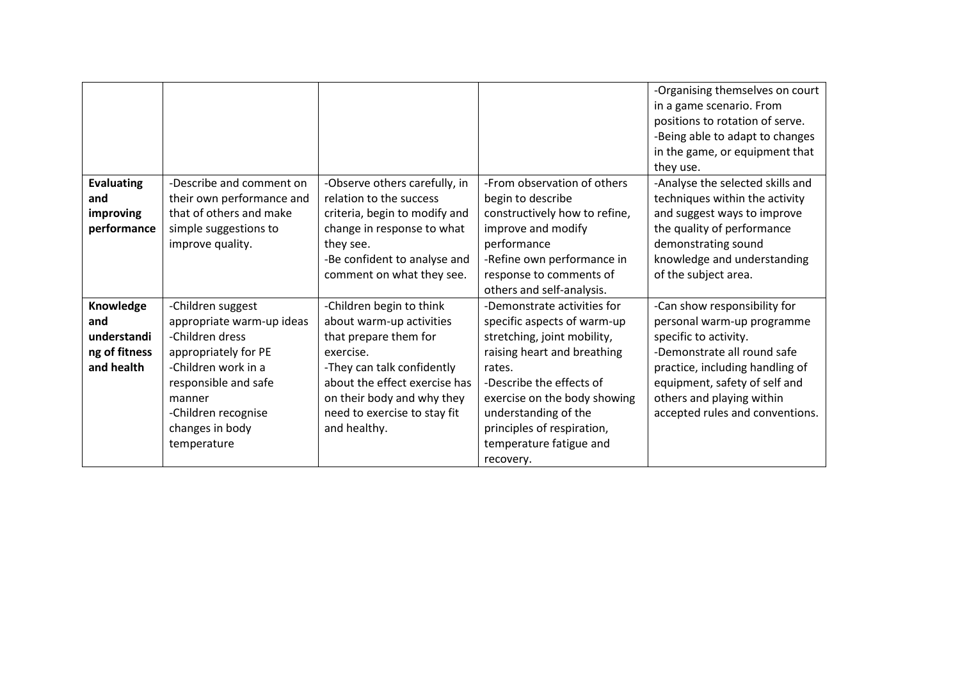|                   |                           |                               |                               | -Organising themselves on court  |
|-------------------|---------------------------|-------------------------------|-------------------------------|----------------------------------|
|                   |                           |                               |                               | in a game scenario. From         |
|                   |                           |                               |                               | positions to rotation of serve.  |
|                   |                           |                               |                               | -Being able to adapt to changes  |
|                   |                           |                               |                               | in the game, or equipment that   |
|                   |                           |                               |                               | they use.                        |
| <b>Evaluating</b> | -Describe and comment on  | -Observe others carefully, in | -From observation of others   | -Analyse the selected skills and |
| and               | their own performance and | relation to the success       | begin to describe             | techniques within the activity   |
| improving         | that of others and make   | criteria, begin to modify and | constructively how to refine, | and suggest ways to improve      |
| performance       | simple suggestions to     | change in response to what    | improve and modify            | the quality of performance       |
|                   | improve quality.          | they see.                     | performance                   | demonstrating sound              |
|                   |                           | -Be confident to analyse and  | -Refine own performance in    | knowledge and understanding      |
|                   |                           | comment on what they see.     | response to comments of       | of the subject area.             |
|                   |                           |                               | others and self-analysis.     |                                  |
| Knowledge         | -Children suggest         | -Children begin to think      | -Demonstrate activities for   | -Can show responsibility for     |
| and               | appropriate warm-up ideas | about warm-up activities      | specific aspects of warm-up   | personal warm-up programme       |
| understandi       | -Children dress           | that prepare them for         | stretching, joint mobility,   | specific to activity.            |
| ng of fitness     | appropriately for PE      | exercise.                     | raising heart and breathing   | -Demonstrate all round safe      |
| and health        | -Children work in a       | -They can talk confidently    | rates.                        | practice, including handling of  |
|                   | responsible and safe      | about the effect exercise has | -Describe the effects of      | equipment, safety of self and    |
|                   | manner                    | on their body and why they    | exercise on the body showing  | others and playing within        |
|                   | -Children recognise       | need to exercise to stay fit  | understanding of the          | accepted rules and conventions.  |
|                   | changes in body           | and healthy.                  | principles of respiration,    |                                  |
|                   | temperature               |                               | temperature fatigue and       |                                  |
|                   |                           |                               | recovery.                     |                                  |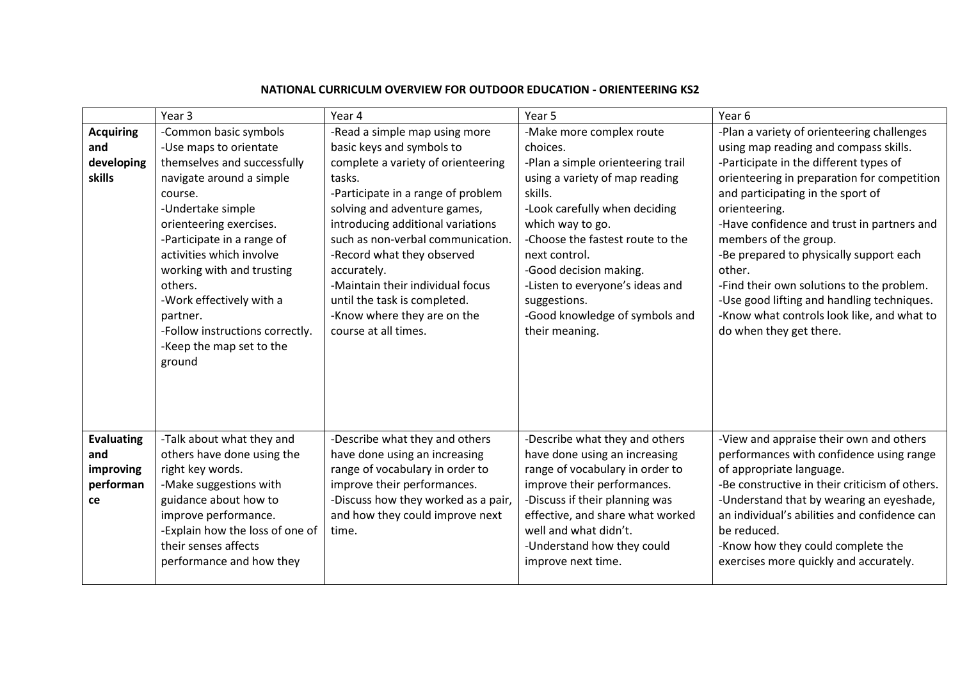|                                                          | Year <sub>3</sub>                                                                                                                                                                                                                                                                                      | Year 4                                                                                                                                                                                                                                                                                                                         | Year 5                                                                                                                                                                                                                                                                               | Year <sub>6</sub>                                                                                                                                                                                                                                                                                                                                                                                 |
|----------------------------------------------------------|--------------------------------------------------------------------------------------------------------------------------------------------------------------------------------------------------------------------------------------------------------------------------------------------------------|--------------------------------------------------------------------------------------------------------------------------------------------------------------------------------------------------------------------------------------------------------------------------------------------------------------------------------|--------------------------------------------------------------------------------------------------------------------------------------------------------------------------------------------------------------------------------------------------------------------------------------|---------------------------------------------------------------------------------------------------------------------------------------------------------------------------------------------------------------------------------------------------------------------------------------------------------------------------------------------------------------------------------------------------|
|                                                          |                                                                                                                                                                                                                                                                                                        |                                                                                                                                                                                                                                                                                                                                |                                                                                                                                                                                                                                                                                      |                                                                                                                                                                                                                                                                                                                                                                                                   |
| <b>Acquiring</b>                                         | -Common basic symbols                                                                                                                                                                                                                                                                                  | -Read a simple map using more                                                                                                                                                                                                                                                                                                  | -Make more complex route                                                                                                                                                                                                                                                             | -Plan a variety of orienteering challenges                                                                                                                                                                                                                                                                                                                                                        |
| and                                                      | -Use maps to orientate                                                                                                                                                                                                                                                                                 | basic keys and symbols to                                                                                                                                                                                                                                                                                                      | choices.                                                                                                                                                                                                                                                                             | using map reading and compass skills.                                                                                                                                                                                                                                                                                                                                                             |
| developing                                               | themselves and successfully                                                                                                                                                                                                                                                                            | complete a variety of orienteering                                                                                                                                                                                                                                                                                             | -Plan a simple orienteering trail                                                                                                                                                                                                                                                    | -Participate in the different types of                                                                                                                                                                                                                                                                                                                                                            |
| skills                                                   | navigate around a simple<br>course.<br>-Undertake simple<br>orienteering exercises.<br>-Participate in a range of<br>activities which involve<br>working with and trusting<br>others.<br>-Work effectively with a<br>partner.<br>-Follow instructions correctly.<br>-Keep the map set to the<br>ground | tasks.<br>-Participate in a range of problem<br>solving and adventure games,<br>introducing additional variations<br>such as non-verbal communication.<br>-Record what they observed<br>accurately.<br>-Maintain their individual focus<br>until the task is completed.<br>-Know where they are on the<br>course at all times. | using a variety of map reading<br>skills.<br>-Look carefully when deciding<br>which way to go.<br>-Choose the fastest route to the<br>next control.<br>-Good decision making.<br>-Listen to everyone's ideas and<br>suggestions.<br>-Good knowledge of symbols and<br>their meaning. | orienteering in preparation for competition<br>and participating in the sport of<br>orienteering.<br>-Have confidence and trust in partners and<br>members of the group.<br>-Be prepared to physically support each<br>other.<br>-Find their own solutions to the problem.<br>-Use good lifting and handling techniques.<br>-Know what controls look like, and what to<br>do when they get there. |
| <b>Evaluating</b><br>and<br>improving<br>performan<br>ce | -Talk about what they and<br>others have done using the<br>right key words.<br>-Make suggestions with<br>guidance about how to<br>improve performance.<br>-Explain how the loss of one of<br>their senses affects<br>performance and how they                                                          | -Describe what they and others<br>have done using an increasing<br>range of vocabulary in order to<br>improve their performances.<br>-Discuss how they worked as a pair,<br>and how they could improve next<br>time.                                                                                                           | -Describe what they and others<br>have done using an increasing<br>range of vocabulary in order to<br>improve their performances.<br>-Discuss if their planning was<br>effective, and share what worked<br>well and what didn't.<br>-Understand how they could<br>improve next time. | -View and appraise their own and others<br>performances with confidence using range<br>of appropriate language.<br>-Be constructive in their criticism of others.<br>-Understand that by wearing an eyeshade,<br>an individual's abilities and confidence can<br>be reduced.<br>-Know how they could complete the<br>exercises more quickly and accurately.                                       |

## **NATIONAL CURRICULM OVERVIEW FOR OUTDOOR EDUCATION - ORIENTEERING KS2**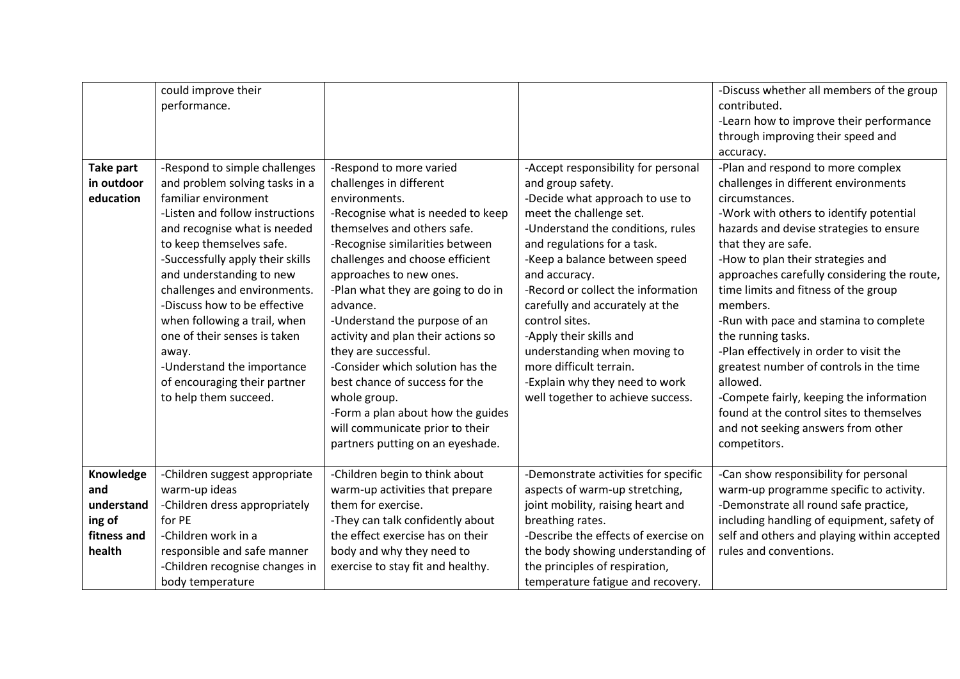|                  | could improve their              |                                    |                                      | -Discuss whether all members of the group   |
|------------------|----------------------------------|------------------------------------|--------------------------------------|---------------------------------------------|
|                  | performance.                     |                                    |                                      | contributed.                                |
|                  |                                  |                                    |                                      | -Learn how to improve their performance     |
|                  |                                  |                                    |                                      | through improving their speed and           |
|                  |                                  |                                    |                                      | accuracy.                                   |
| <b>Take part</b> | -Respond to simple challenges    | -Respond to more varied            | -Accept responsibility for personal  | -Plan and respond to more complex           |
| in outdoor       | and problem solving tasks in a   | challenges in different            | and group safety.                    | challenges in different environments        |
| education        | familiar environment             | environments.                      | -Decide what approach to use to      | circumstances.                              |
|                  | -Listen and follow instructions  | -Recognise what is needed to keep  | meet the challenge set.              | -Work with others to identify potential     |
|                  | and recognise what is needed     | themselves and others safe.        | -Understand the conditions, rules    | hazards and devise strategies to ensure     |
|                  | to keep themselves safe.         | -Recognise similarities between    | and regulations for a task.          | that they are safe.                         |
|                  | -Successfully apply their skills | challenges and choose efficient    | -Keep a balance between speed        | -How to plan their strategies and           |
|                  | and understanding to new         | approaches to new ones.            | and accuracy.                        | approaches carefully considering the route, |
|                  | challenges and environments.     | -Plan what they are going to do in | -Record or collect the information   | time limits and fitness of the group        |
|                  | -Discuss how to be effective     | advance.                           | carefully and accurately at the      | members.                                    |
|                  | when following a trail, when     | -Understand the purpose of an      | control sites.                       | -Run with pace and stamina to complete      |
|                  | one of their senses is taken     | activity and plan their actions so | -Apply their skills and              | the running tasks.                          |
|                  | away.                            | they are successful.               | understanding when moving to         | -Plan effectively in order to visit the     |
|                  | -Understand the importance       | -Consider which solution has the   | more difficult terrain.              | greatest number of controls in the time     |
|                  | of encouraging their partner     | best chance of success for the     | -Explain why they need to work       | allowed.                                    |
|                  | to help them succeed.            | whole group.                       | well together to achieve success.    | -Compete fairly, keeping the information    |
|                  |                                  | -Form a plan about how the guides  |                                      | found at the control sites to themselves    |
|                  |                                  | will communicate prior to their    |                                      | and not seeking answers from other          |
|                  |                                  | partners putting on an eyeshade.   |                                      | competitors.                                |
|                  |                                  |                                    |                                      |                                             |
| Knowledge        | -Children suggest appropriate    | -Children begin to think about     | -Demonstrate activities for specific | -Can show responsibility for personal       |
| and              | warm-up ideas                    | warm-up activities that prepare    | aspects of warm-up stretching,       | warm-up programme specific to activity.     |
| understand       | -Children dress appropriately    | them for exercise.                 | joint mobility, raising heart and    | -Demonstrate all round safe practice,       |
| ing of           | for PE                           | -They can talk confidently about   | breathing rates.                     | including handling of equipment, safety of  |
| fitness and      | -Children work in a              | the effect exercise has on their   | -Describe the effects of exercise on | self and others and playing within accepted |
| health           | responsible and safe manner      | body and why they need to          | the body showing understanding of    | rules and conventions.                      |
|                  | -Children recognise changes in   | exercise to stay fit and healthy.  | the principles of respiration,       |                                             |
|                  | body temperature                 |                                    | temperature fatigue and recovery.    |                                             |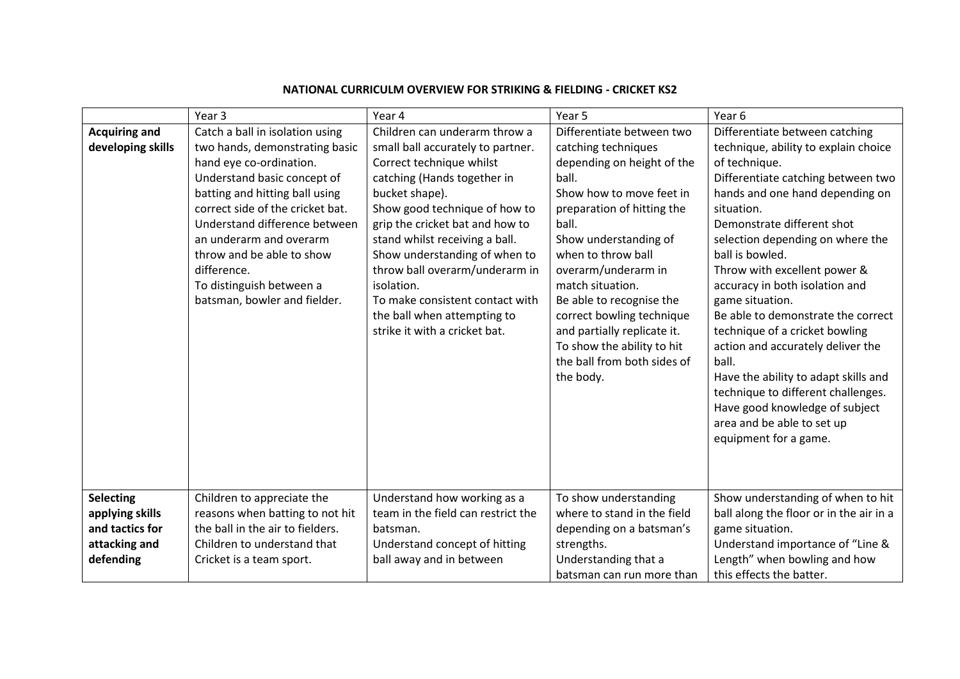|                                                                                      | Year <sub>3</sub>                                                                                                                                                                                                                                                                                                                                                     | Year 4                                                                                                                                                                                                                                                                                                                                                                                                                                    | Year 5                                                                                                                                                                                                                                                                                                                                                                                                                 | Year <sub>6</sub>                                                                                                                                                                                                                                                                                                                                                                                                                                                                                                                                                                                                                                     |
|--------------------------------------------------------------------------------------|-----------------------------------------------------------------------------------------------------------------------------------------------------------------------------------------------------------------------------------------------------------------------------------------------------------------------------------------------------------------------|-------------------------------------------------------------------------------------------------------------------------------------------------------------------------------------------------------------------------------------------------------------------------------------------------------------------------------------------------------------------------------------------------------------------------------------------|------------------------------------------------------------------------------------------------------------------------------------------------------------------------------------------------------------------------------------------------------------------------------------------------------------------------------------------------------------------------------------------------------------------------|-------------------------------------------------------------------------------------------------------------------------------------------------------------------------------------------------------------------------------------------------------------------------------------------------------------------------------------------------------------------------------------------------------------------------------------------------------------------------------------------------------------------------------------------------------------------------------------------------------------------------------------------------------|
| <b>Acquiring and</b><br>developing skills                                            | Catch a ball in isolation using<br>two hands, demonstrating basic<br>hand eye co-ordination.<br>Understand basic concept of<br>batting and hitting ball using<br>correct side of the cricket bat.<br>Understand difference between<br>an underarm and overarm<br>throw and be able to show<br>difference.<br>To distinguish between a<br>batsman, bowler and fielder. | Children can underarm throw a<br>small ball accurately to partner.<br>Correct technique whilst<br>catching (Hands together in<br>bucket shape).<br>Show good technique of how to<br>grip the cricket bat and how to<br>stand whilst receiving a ball.<br>Show understanding of when to<br>throw ball overarm/underarm in<br>isolation.<br>To make consistent contact with<br>the ball when attempting to<br>strike it with a cricket bat. | Differentiate between two<br>catching techniques<br>depending on height of the<br>ball.<br>Show how to move feet in<br>preparation of hitting the<br>ball.<br>Show understanding of<br>when to throw ball<br>overarm/underarm in<br>match situation.<br>Be able to recognise the<br>correct bowling technique<br>and partially replicate it.<br>To show the ability to hit<br>the ball from both sides of<br>the body. | Differentiate between catching<br>technique, ability to explain choice<br>of technique.<br>Differentiate catching between two<br>hands and one hand depending on<br>situation.<br>Demonstrate different shot<br>selection depending on where the<br>ball is bowled.<br>Throw with excellent power &<br>accuracy in both isolation and<br>game situation.<br>Be able to demonstrate the correct<br>technique of a cricket bowling<br>action and accurately deliver the<br>ball.<br>Have the ability to adapt skills and<br>technique to different challenges.<br>Have good knowledge of subject<br>area and be able to set up<br>equipment for a game. |
| <b>Selecting</b><br>applying skills<br>and tactics for<br>attacking and<br>defending | Children to appreciate the<br>reasons when batting to not hit<br>the ball in the air to fielders.<br>Children to understand that<br>Cricket is a team sport.                                                                                                                                                                                                          | Understand how working as a<br>team in the field can restrict the<br>batsman.<br>Understand concept of hitting<br>ball away and in between                                                                                                                                                                                                                                                                                                | To show understanding<br>where to stand in the field<br>depending on a batsman's<br>strengths.<br>Understanding that a<br>batsman can run more than                                                                                                                                                                                                                                                                    | Show understanding of when to hit<br>ball along the floor or in the air in a<br>game situation.<br>Understand importance of "Line &<br>Length" when bowling and how<br>this effects the batter.                                                                                                                                                                                                                                                                                                                                                                                                                                                       |

### **NATIONAL CURRICULM OVERVIEW FOR STRIKING & FIELDING - CRICKET KS2**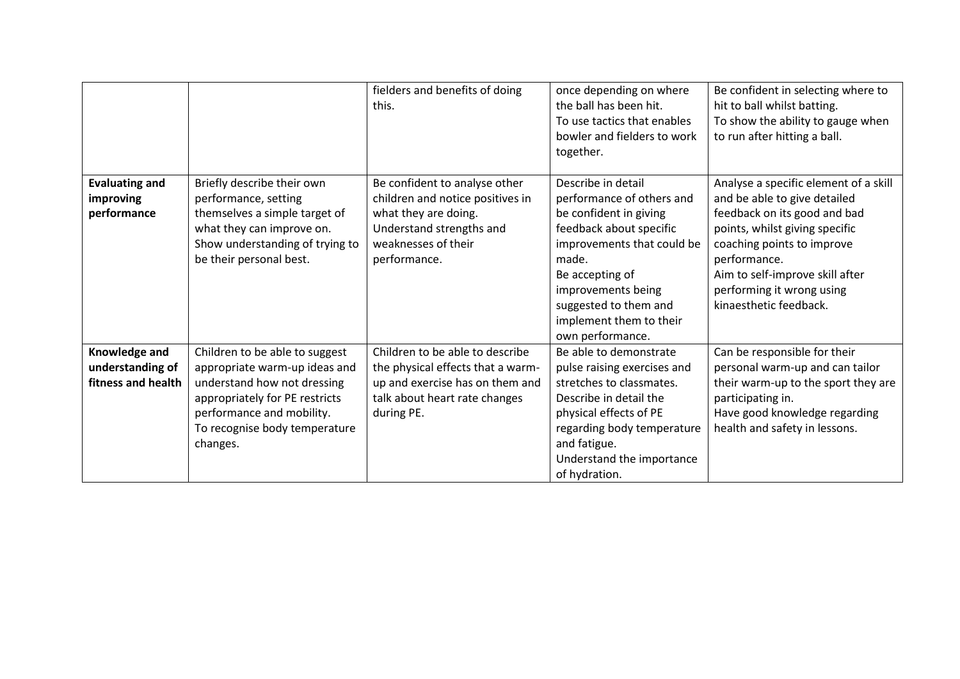|                                                         |                                                                                                                                                                                                            | fielders and benefits of doing<br>this.                                                                                                                      | once depending on where<br>the ball has been hit.<br>To use tactics that enables<br>bowler and fielders to work<br>together.                                                                                                                                 | Be confident in selecting where to<br>hit to ball whilst batting.<br>To show the ability to gauge when<br>to run after hitting a ball.                                                                                                                                          |
|---------------------------------------------------------|------------------------------------------------------------------------------------------------------------------------------------------------------------------------------------------------------------|--------------------------------------------------------------------------------------------------------------------------------------------------------------|--------------------------------------------------------------------------------------------------------------------------------------------------------------------------------------------------------------------------------------------------------------|---------------------------------------------------------------------------------------------------------------------------------------------------------------------------------------------------------------------------------------------------------------------------------|
| <b>Evaluating and</b><br>improving<br>performance       | Briefly describe their own<br>performance, setting<br>themselves a simple target of<br>what they can improve on.<br>Show understanding of trying to<br>be their personal best.                             | Be confident to analyse other<br>children and notice positives in<br>what they are doing.<br>Understand strengths and<br>weaknesses of their<br>performance. | Describe in detail<br>performance of others and<br>be confident in giving<br>feedback about specific<br>improvements that could be<br>made.<br>Be accepting of<br>improvements being<br>suggested to them and<br>implement them to their<br>own performance. | Analyse a specific element of a skill<br>and be able to give detailed<br>feedback on its good and bad<br>points, whilst giving specific<br>coaching points to improve<br>performance.<br>Aim to self-improve skill after<br>performing it wrong using<br>kinaesthetic feedback. |
| Knowledge and<br>understanding of<br>fitness and health | Children to be able to suggest<br>appropriate warm-up ideas and<br>understand how not dressing<br>appropriately for PE restricts<br>performance and mobility.<br>To recognise body temperature<br>changes. | Children to be able to describe<br>the physical effects that a warm-<br>up and exercise has on them and<br>talk about heart rate changes<br>during PE.       | Be able to demonstrate<br>pulse raising exercises and<br>stretches to classmates.<br>Describe in detail the<br>physical effects of PE<br>regarding body temperature<br>and fatigue.<br>Understand the importance<br>of hydration.                            | Can be responsible for their<br>personal warm-up and can tailor<br>their warm-up to the sport they are<br>participating in.<br>Have good knowledge regarding<br>health and safety in lessons.                                                                                   |